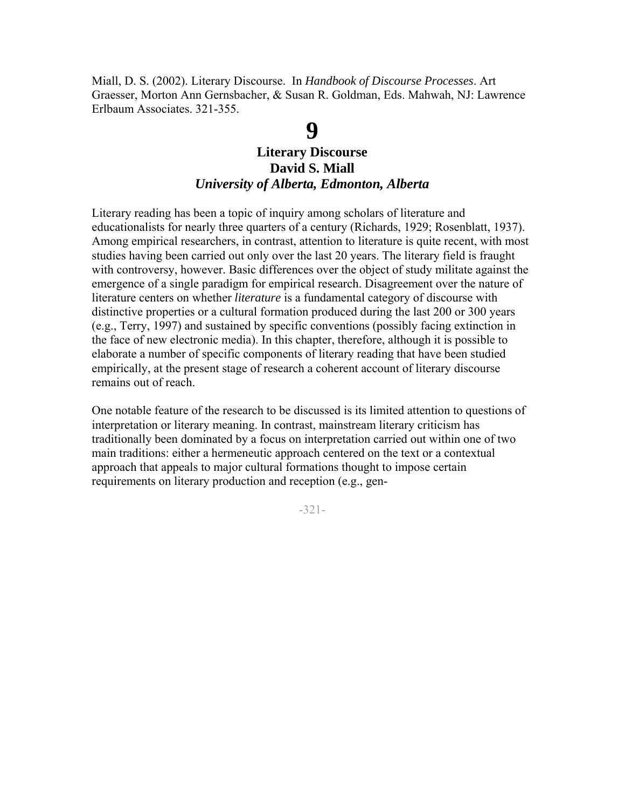Miall, D. S. (2002). Literary Discourse. In *Handbook of Discourse Processes*. Art Graesser, Morton Ann Gernsbacher, & Susan R. Goldman, Eds. Mahwah, NJ: Lawrence Erlbaum Associates. 321-355.

### **9**

#### **Literary Discourse David S. Miall**  *University of Alberta, Edmonton, Alberta*

Literary reading has been a topic of inquiry among scholars of literature and educationalists for nearly three quarters of a century (Richards, 1929; Rosenblatt, 1937). Among empirical researchers, in contrast, attention to literature is quite recent, with most studies having been carried out only over the last 20 years. The literary field is fraught with controversy, however. Basic differences over the object of study militate against the emergence of a single paradigm for empirical research. Disagreement over the nature of literature centers on whether *literature* is a fundamental category of discourse with distinctive properties or a cultural formation produced during the last 200 or 300 years (e.g., Terry, 1997) and sustained by specific conventions (possibly facing extinction in the face of new electronic media). In this chapter, therefore, although it is possible to elaborate a number of specific components of literary reading that have been studied empirically, at the present stage of research a coherent account of literary discourse remains out of reach.

One notable feature of the research to be discussed is its limited attention to questions of interpretation or literary meaning. In contrast, mainstream literary criticism has traditionally been dominated by a focus on interpretation carried out within one of two main traditions: either a hermeneutic approach centered on the text or a contextual approach that appeals to major cultural formations thought to impose certain requirements on literary production and reception (e.g., gen-

-321-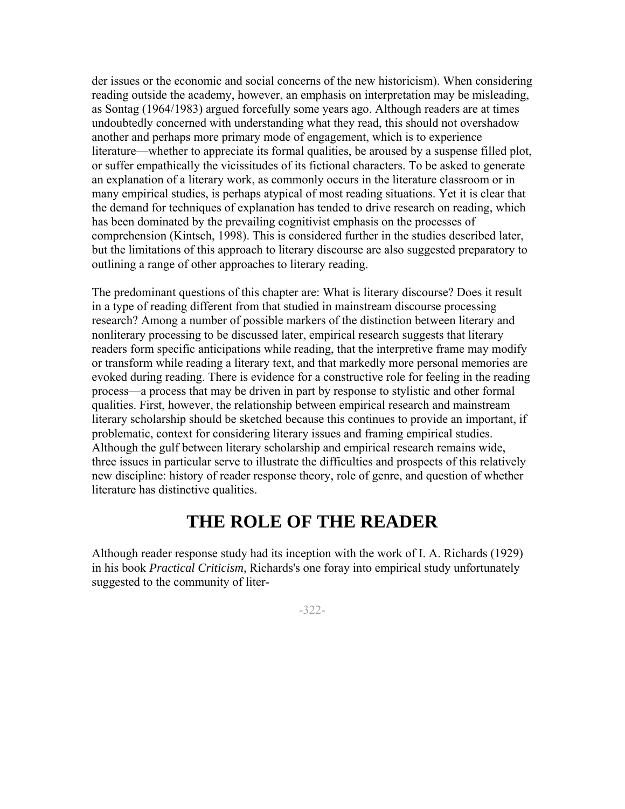der issues or the economic and social concerns of the new historicism). When considering reading outside the academy, however, an emphasis on interpretation may be misleading, as Sontag (1964/1983) argued forcefully some years ago. Although readers are at times undoubtedly concerned with understanding what they read, this should not overshadow another and perhaps more primary mode of engagement, which is to experience literature—whether to appreciate its formal qualities, be aroused by a suspense filled plot, or suffer empathically the vicissitudes of its fictional characters. To be asked to generate an explanation of a literary work, as commonly occurs in the literature classroom or in many empirical studies, is perhaps atypical of most reading situations. Yet it is clear that the demand for techniques of explanation has tended to drive research on reading, which has been dominated by the prevailing cognitivist emphasis on the processes of comprehension (Kintsch, 1998). This is considered further in the studies described later, but the limitations of this approach to literary discourse are also suggested preparatory to outlining a range of other approaches to literary reading.

The predominant questions of this chapter are: What is literary discourse? Does it result in a type of reading different from that studied in mainstream discourse processing research? Among a number of possible markers of the distinction between literary and nonliterary processing to be discussed later, empirical research suggests that literary readers form specific anticipations while reading, that the interpretive frame may modify or transform while reading a literary text, and that markedly more personal memories are evoked during reading. There is evidence for a constructive role for feeling in the reading process—a process that may be driven in part by response to stylistic and other formal qualities. First, however, the relationship between empirical research and mainstream literary scholarship should be sketched because this continues to provide an important, if problematic, context for considering literary issues and framing empirical studies. Although the gulf between literary scholarship and empirical research remains wide, three issues in particular serve to illustrate the difficulties and prospects of this relatively new discipline: history of reader response theory, role of genre, and question of whether literature has distinctive qualities.

### **THE ROLE OF THE READER**

Although reader response study had its inception with the work of I. A. Richards (1929) in his book *Practical Criticism,* Richards's one foray into empirical study unfortunately suggested to the community of liter-

-322-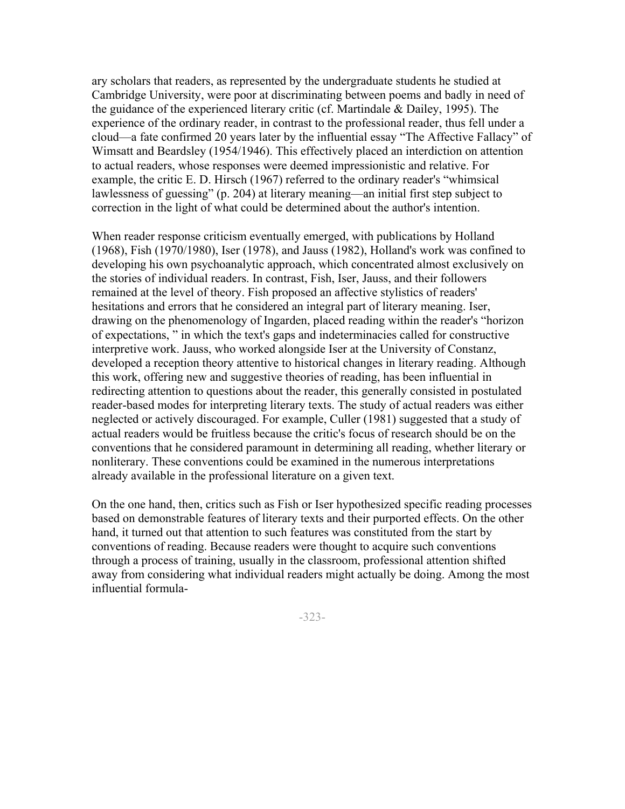ary scholars that readers, as represented by the undergraduate students he studied at Cambridge University, were poor at discriminating between poems and badly in need of the guidance of the experienced literary critic (cf. Martindale & Dailey, 1995). The experience of the ordinary reader, in contrast to the professional reader, thus fell under a cloud—a fate confirmed 20 years later by the influential essay "The Affective Fallacy" of Wimsatt and Beardsley (1954/1946). This effectively placed an interdiction on attention to actual readers, whose responses were deemed impressionistic and relative. For example, the critic E. D. Hirsch (1967) referred to the ordinary reader's "whimsical lawlessness of guessing" (p. 204) at literary meaning—an initial first step subject to correction in the light of what could be determined about the author's intention.

When reader response criticism eventually emerged, with publications by Holland (1968), Fish (1970/1980), Iser (1978), and Jauss (1982), Holland's work was confined to developing his own psychoanalytic approach, which concentrated almost exclusively on the stories of individual readers. In contrast, Fish, Iser, Jauss, and their followers remained at the level of theory. Fish proposed an affective stylistics of readers' hesitations and errors that he considered an integral part of literary meaning. Iser, drawing on the phenomenology of Ingarden, placed reading within the reader's "horizon of expectations, " in which the text's gaps and indeterminacies called for constructive interpretive work. Jauss, who worked alongside Iser at the University of Constanz, developed a reception theory attentive to historical changes in literary reading. Although this work, offering new and suggestive theories of reading, has been influential in redirecting attention to questions about the reader, this generally consisted in postulated reader-based modes for interpreting literary texts. The study of actual readers was either neglected or actively discouraged. For example, Culler (1981) suggested that a study of actual readers would be fruitless because the critic's focus of research should be on the conventions that he considered paramount in determining all reading, whether literary or nonliterary. These conventions could be examined in the numerous interpretations already available in the professional literature on a given text.

On the one hand, then, critics such as Fish or Iser hypothesized specific reading processes based on demonstrable features of literary texts and their purported effects. On the other hand, it turned out that attention to such features was constituted from the start by conventions of reading. Because readers were thought to acquire such conventions through a process of training, usually in the classroom, professional attention shifted away from considering what individual readers might actually be doing. Among the most influential formula-

-323-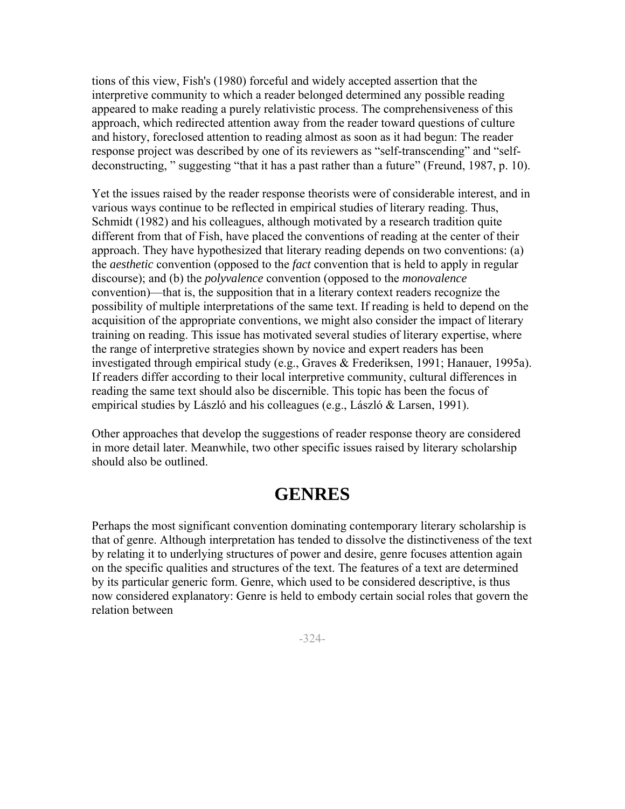tions of this view, Fish's (1980) forceful and widely accepted assertion that the interpretive community to which a reader belonged determined any possible reading appeared to make reading a purely relativistic process. The comprehensiveness of this approach, which redirected attention away from the reader toward questions of culture and history, foreclosed attention to reading almost as soon as it had begun: The reader response project was described by one of its reviewers as "self-transcending" and "selfdeconstructing, " suggesting "that it has a past rather than a future" (Freund, 1987, p. 10).

Yet the issues raised by the reader response theorists were of considerable interest, and in various ways continue to be reflected in empirical studies of literary reading. Thus, Schmidt (1982) and his colleagues, although motivated by a research tradition quite different from that of Fish, have placed the conventions of reading at the center of their approach. They have hypothesized that literary reading depends on two conventions: (a) the *aesthetic* convention (opposed to the *fact* convention that is held to apply in regular discourse); and (b) the *polyvalence* convention (opposed to the *monovalence* convention)—that is, the supposition that in a literary context readers recognize the possibility of multiple interpretations of the same text. If reading is held to depend on the acquisition of the appropriate conventions, we might also consider the impact of literary training on reading. This issue has motivated several studies of literary expertise, where the range of interpretive strategies shown by novice and expert readers has been investigated through empirical study (e.g., Graves & Frederiksen, 1991; Hanauer, 1995a). If readers differ according to their local interpretive community, cultural differences in reading the same text should also be discernible. This topic has been the focus of empirical studies by László and his colleagues (e.g., László & Larsen, 1991).

Other approaches that develop the suggestions of reader response theory are considered in more detail later. Meanwhile, two other specific issues raised by literary scholarship should also be outlined.

## **GENRES**

Perhaps the most significant convention dominating contemporary literary scholarship is that of genre. Although interpretation has tended to dissolve the distinctiveness of the text by relating it to underlying structures of power and desire, genre focuses attention again on the specific qualities and structures of the text. The features of a text are determined by its particular generic form. Genre, which used to be considered descriptive, is thus now considered explanatory: Genre is held to embody certain social roles that govern the relation between

-324-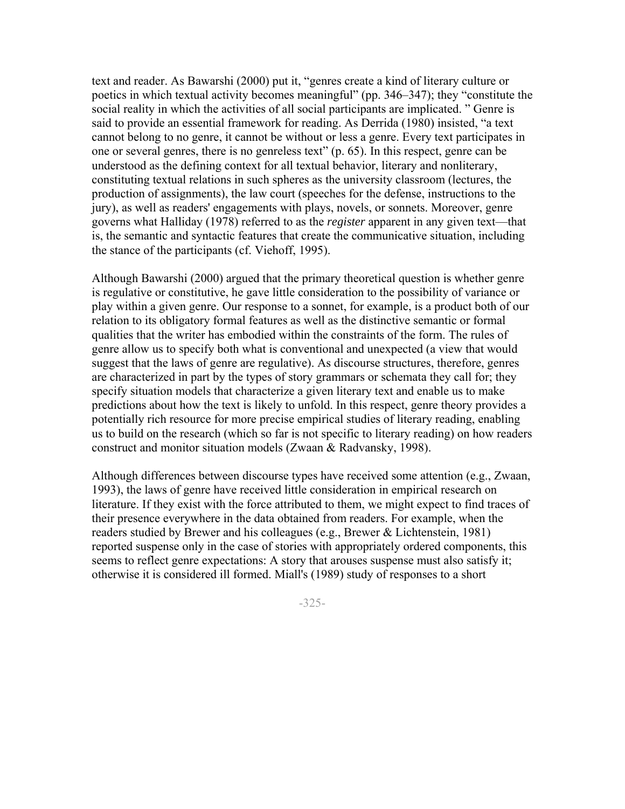text and reader. As Bawarshi (2000) put it, "genres create a kind of literary culture or poetics in which textual activity becomes meaningful" (pp. 346–347); they "constitute the social reality in which the activities of all social participants are implicated. " Genre is said to provide an essential framework for reading. As Derrida (1980) insisted, "a text cannot belong to no genre, it cannot be without or less a genre. Every text participates in one or several genres, there is no genreless text" (p. 65). In this respect, genre can be understood as the defining context for all textual behavior, literary and nonliterary, constituting textual relations in such spheres as the university classroom (lectures, the production of assignments), the law court (speeches for the defense, instructions to the jury), as well as readers' engagements with plays, novels, or sonnets. Moreover, genre governs what Halliday (1978) referred to as the *register* apparent in any given text—that is, the semantic and syntactic features that create the communicative situation, including the stance of the participants (cf. Viehoff, 1995).

Although Bawarshi (2000) argued that the primary theoretical question is whether genre is regulative or constitutive, he gave little consideration to the possibility of variance or play within a given genre. Our response to a sonnet, for example, is a product both of our relation to its obligatory formal features as well as the distinctive semantic or formal qualities that the writer has embodied within the constraints of the form. The rules of genre allow us to specify both what is conventional and unexpected (a view that would suggest that the laws of genre are regulative). As discourse structures, therefore, genres are characterized in part by the types of story grammars or schemata they call for; they specify situation models that characterize a given literary text and enable us to make predictions about how the text is likely to unfold. In this respect, genre theory provides a potentially rich resource for more precise empirical studies of literary reading, enabling us to build on the research (which so far is not specific to literary reading) on how readers construct and monitor situation models (Zwaan & Radvansky, 1998).

Although differences between discourse types have received some attention (e.g., Zwaan, 1993), the laws of genre have received little consideration in empirical research on literature. If they exist with the force attributed to them, we might expect to find traces of their presence everywhere in the data obtained from readers. For example, when the readers studied by Brewer and his colleagues (e.g., Brewer & Lichtenstein, 1981) reported suspense only in the case of stories with appropriately ordered components, this seems to reflect genre expectations: A story that arouses suspense must also satisfy it; otherwise it is considered ill formed. Miall's (1989) study of responses to a short

-325-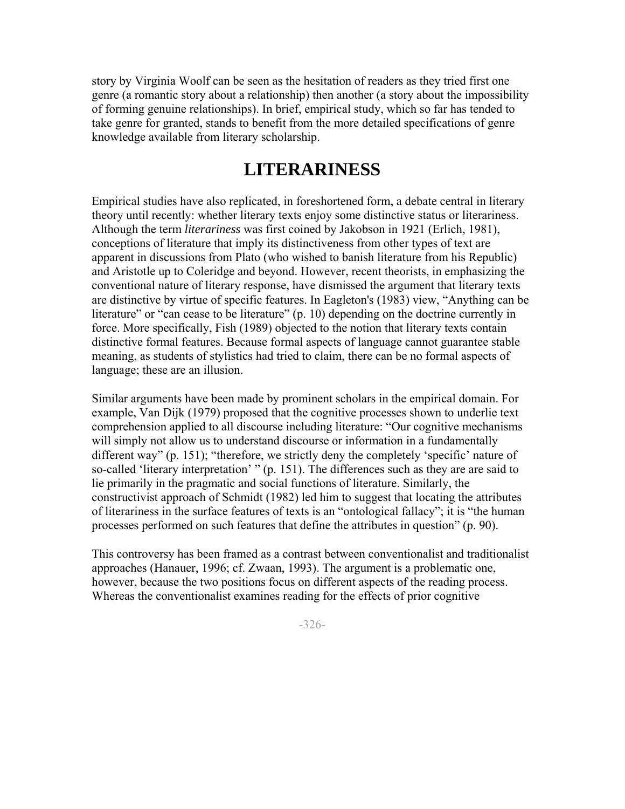story by Virginia Woolf can be seen as the hesitation of readers as they tried first one genre (a romantic story about a relationship) then another (a story about the impossibility of forming genuine relationships). In brief, empirical study, which so far has tended to take genre for granted, stands to benefit from the more detailed specifications of genre knowledge available from literary scholarship.

### **LITERARINESS**

Empirical studies have also replicated, in foreshortened form, a debate central in literary theory until recently: whether literary texts enjoy some distinctive status or literariness. Although the term *literariness* was first coined by Jakobson in 1921 (Erlich, 1981), conceptions of literature that imply its distinctiveness from other types of text are apparent in discussions from Plato (who wished to banish literature from his Republic) and Aristotle up to Coleridge and beyond. However, recent theorists, in emphasizing the conventional nature of literary response, have dismissed the argument that literary texts are distinctive by virtue of specific features. In Eagleton's (1983) view, "Anything can be literature" or "can cease to be literature" (p. 10) depending on the doctrine currently in force. More specifically, Fish (1989) objected to the notion that literary texts contain distinctive formal features. Because formal aspects of language cannot guarantee stable meaning, as students of stylistics had tried to claim, there can be no formal aspects of language; these are an illusion.

Similar arguments have been made by prominent scholars in the empirical domain. For example, Van Dijk (1979) proposed that the cognitive processes shown to underlie text comprehension applied to all discourse including literature: "Our cognitive mechanisms will simply not allow us to understand discourse or information in a fundamentally different way" (p. 151); "therefore, we strictly deny the completely 'specific' nature of so-called 'literary interpretation' " (p. 151). The differences such as they are are said to lie primarily in the pragmatic and social functions of literature. Similarly, the constructivist approach of Schmidt (1982) led him to suggest that locating the attributes of literariness in the surface features of texts is an "ontological fallacy"; it is "the human processes performed on such features that define the attributes in question" (p. 90).

This controversy has been framed as a contrast between conventionalist and traditionalist approaches (Hanauer, 1996; cf. Zwaan, 1993). The argument is a problematic one, however, because the two positions focus on different aspects of the reading process. Whereas the conventionalist examines reading for the effects of prior cognitive

-326-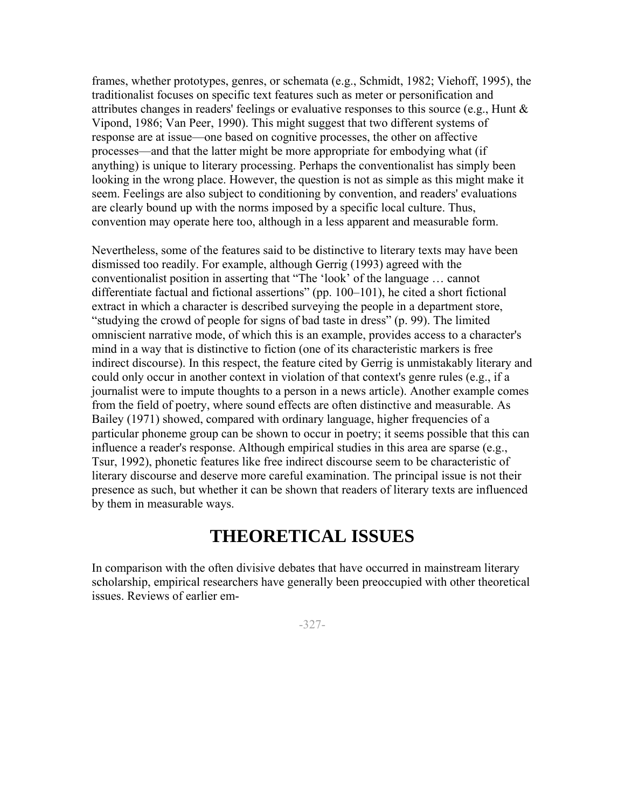frames, whether prototypes, genres, or schemata (e.g., Schmidt, 1982; Viehoff, 1995), the traditionalist focuses on specific text features such as meter or personification and attributes changes in readers' feelings or evaluative responses to this source (e.g., Hunt & Vipond, 1986; Van Peer, 1990). This might suggest that two different systems of response are at issue—one based on cognitive processes, the other on affective processes—and that the latter might be more appropriate for embodying what (if anything) is unique to literary processing. Perhaps the conventionalist has simply been looking in the wrong place. However, the question is not as simple as this might make it seem. Feelings are also subject to conditioning by convention, and readers' evaluations are clearly bound up with the norms imposed by a specific local culture. Thus, convention may operate here too, although in a less apparent and measurable form.

Nevertheless, some of the features said to be distinctive to literary texts may have been dismissed too readily. For example, although Gerrig (1993) agreed with the conventionalist position in asserting that "The 'look' of the language … cannot differentiate factual and fictional assertions" (pp. 100–101), he cited a short fictional extract in which a character is described surveying the people in a department store, "studying the crowd of people for signs of bad taste in dress" (p. 99). The limited omniscient narrative mode, of which this is an example, provides access to a character's mind in a way that is distinctive to fiction (one of its characteristic markers is free indirect discourse). In this respect, the feature cited by Gerrig is unmistakably literary and could only occur in another context in violation of that context's genre rules (e.g., if a journalist were to impute thoughts to a person in a news article). Another example comes from the field of poetry, where sound effects are often distinctive and measurable. As Bailey (1971) showed, compared with ordinary language, higher frequencies of a particular phoneme group can be shown to occur in poetry; it seems possible that this can influence a reader's response. Although empirical studies in this area are sparse (e.g., Tsur, 1992), phonetic features like free indirect discourse seem to be characteristic of literary discourse and deserve more careful examination. The principal issue is not their presence as such, but whether it can be shown that readers of literary texts are influenced by them in measurable ways.

# **THEORETICAL ISSUES**

In comparison with the often divisive debates that have occurred in mainstream literary scholarship, empirical researchers have generally been preoccupied with other theoretical issues. Reviews of earlier em-

-327-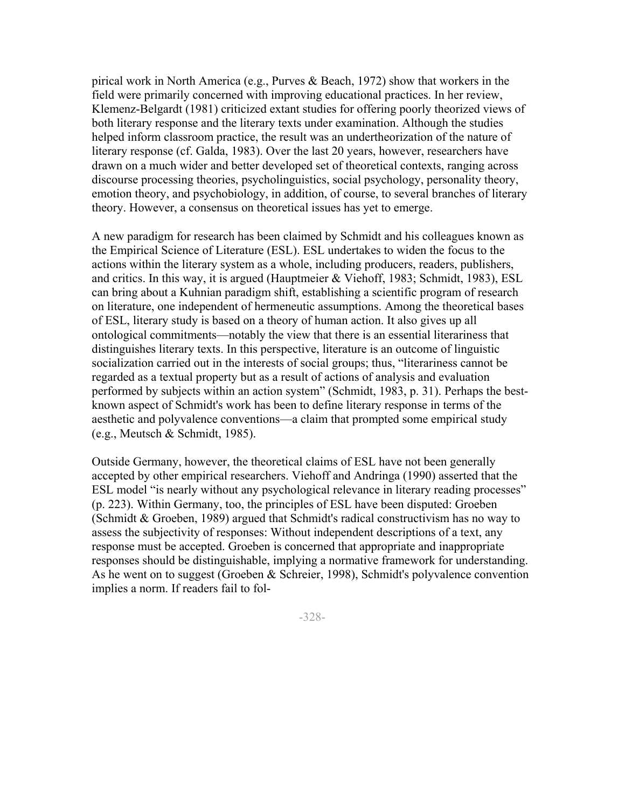pirical work in North America (e.g., Purves & Beach, 1972) show that workers in the field were primarily concerned with improving educational practices. In her review, Klemenz-Belgardt (1981) criticized extant studies for offering poorly theorized views of both literary response and the literary texts under examination. Although the studies helped inform classroom practice, the result was an undertheorization of the nature of literary response (cf. Galda, 1983). Over the last 20 years, however, researchers have drawn on a much wider and better developed set of theoretical contexts, ranging across discourse processing theories, psycholinguistics, social psychology, personality theory, emotion theory, and psychobiology, in addition, of course, to several branches of literary theory. However, a consensus on theoretical issues has yet to emerge.

A new paradigm for research has been claimed by Schmidt and his colleagues known as the Empirical Science of Literature (ESL). ESL undertakes to widen the focus to the actions within the literary system as a whole, including producers, readers, publishers, and critics. In this way, it is argued (Hauptmeier & Viehoff, 1983; Schmidt, 1983), ESL can bring about a Kuhnian paradigm shift, establishing a scientific program of research on literature, one independent of hermeneutic assumptions. Among the theoretical bases of ESL, literary study is based on a theory of human action. It also gives up all ontological commitments—notably the view that there is an essential literariness that distinguishes literary texts. In this perspective, literature is an outcome of linguistic socialization carried out in the interests of social groups; thus, "literariness cannot be regarded as a textual property but as a result of actions of analysis and evaluation performed by subjects within an action system" (Schmidt, 1983, p. 31). Perhaps the bestknown aspect of Schmidt's work has been to define literary response in terms of the aesthetic and polyvalence conventions—a claim that prompted some empirical study (e.g., Meutsch & Schmidt, 1985).

Outside Germany, however, the theoretical claims of ESL have not been generally accepted by other empirical researchers. Viehoff and Andringa (1990) asserted that the ESL model "is nearly without any psychological relevance in literary reading processes" (p. 223). Within Germany, too, the principles of ESL have been disputed: Groeben (Schmidt & Groeben, 1989) argued that Schmidt's radical constructivism has no way to assess the subjectivity of responses: Without independent descriptions of a text, any response must be accepted. Groeben is concerned that appropriate and inappropriate responses should be distinguishable, implying a normative framework for understanding. As he went on to suggest (Groeben & Schreier, 1998), Schmidt's polyvalence convention implies a norm. If readers fail to fol-

-328-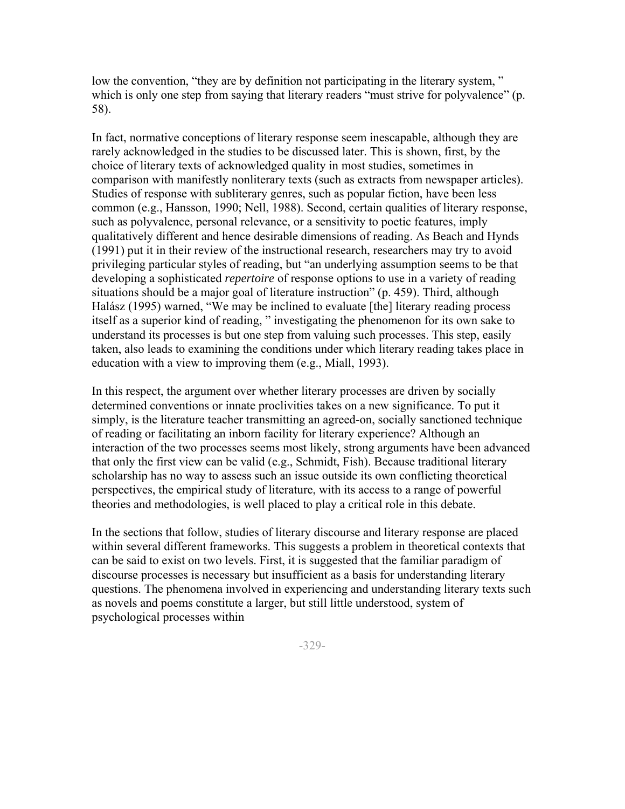low the convention, "they are by definition not participating in the literary system, " which is only one step from saying that literary readers "must strive for polyvalence" (p. 58).

In fact, normative conceptions of literary response seem inescapable, although they are rarely acknowledged in the studies to be discussed later. This is shown, first, by the choice of literary texts of acknowledged quality in most studies, sometimes in comparison with manifestly nonliterary texts (such as extracts from newspaper articles). Studies of response with subliterary genres, such as popular fiction, have been less common (e.g., Hansson, 1990; Nell, 1988). Second, certain qualities of literary response, such as polyvalence, personal relevance, or a sensitivity to poetic features, imply qualitatively different and hence desirable dimensions of reading. As Beach and Hynds (1991) put it in their review of the instructional research, researchers may try to avoid privileging particular styles of reading, but "an underlying assumption seems to be that developing a sophisticated *repertoire* of response options to use in a variety of reading situations should be a major goal of literature instruction" (p. 459). Third, although Halász (1995) warned, "We may be inclined to evaluate [the] literary reading process itself as a superior kind of reading, " investigating the phenomenon for its own sake to understand its processes is but one step from valuing such processes. This step, easily taken, also leads to examining the conditions under which literary reading takes place in education with a view to improving them (e.g., Miall, 1993).

In this respect, the argument over whether literary processes are driven by socially determined conventions or innate proclivities takes on a new significance. To put it simply, is the literature teacher transmitting an agreed-on, socially sanctioned technique of reading or facilitating an inborn facility for literary experience? Although an interaction of the two processes seems most likely, strong arguments have been advanced that only the first view can be valid (e.g., Schmidt, Fish). Because traditional literary scholarship has no way to assess such an issue outside its own conflicting theoretical perspectives, the empirical study of literature, with its access to a range of powerful theories and methodologies, is well placed to play a critical role in this debate.

In the sections that follow, studies of literary discourse and literary response are placed within several different frameworks. This suggests a problem in theoretical contexts that can be said to exist on two levels. First, it is suggested that the familiar paradigm of discourse processes is necessary but insufficient as a basis for understanding literary questions. The phenomena involved in experiencing and understanding literary texts such as novels and poems constitute a larger, but still little understood, system of psychological processes within

-329-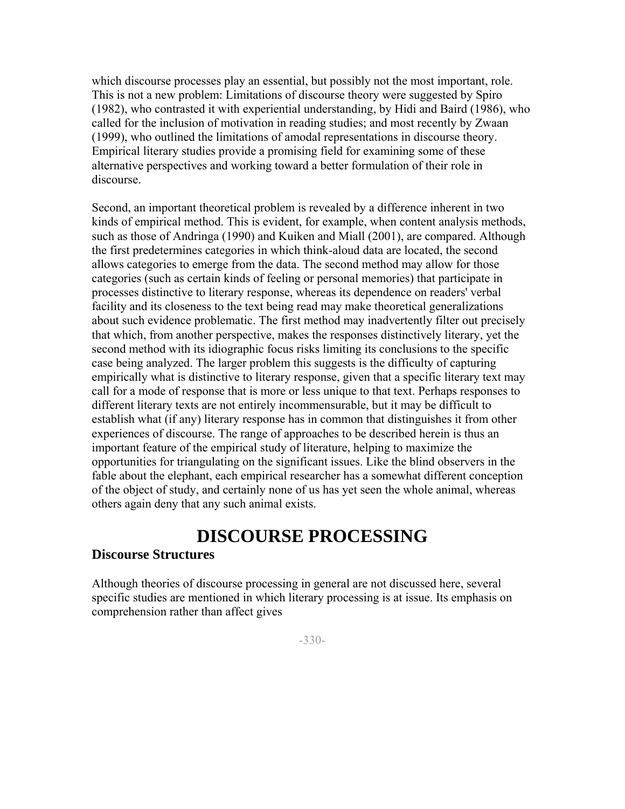which discourse processes play an essential, but possibly not the most important, role. This is not a new problem: Limitations of discourse theory were suggested by Spiro (1982), who contrasted it with experiential understanding, by Hidi and Baird (1986), who called for the inclusion of motivation in reading studies; and most recently by Zwaan (1999), who outlined the limitations of amodal representations in discourse theory. Empirical literary studies provide a promising field for examining some of these alternative perspectives and working toward a better formulation of their role in discourse.

Second, an important theoretical problem is revealed by a difference inherent in two kinds of empirical method. This is evident, for example, when content analysis methods, such as those of Andringa (1990) and Kuiken and Miall (2001), are compared. Although the first predetermines categories in which think-aloud data are located, the second allows categories to emerge from the data. The second method may allow for those categories (such as certain kinds of feeling or personal memories) that participate in processes distinctive to literary response, whereas its dependence on readers' verbal facility and its closeness to the text being read may make theoretical generalizations about such evidence problematic. The first method may inadvertently filter out precisely that which, from another perspective, makes the responses distinctively literary, yet the second method with its idiographic focus risks limiting its conclusions to the specific case being analyzed. The larger problem this suggests is the difficulty of capturing empirically what is distinctive to literary response, given that a specific literary text may call for a mode of response that is more or less unique to that text. Perhaps responses to different literary texts are not entirely incommensurable, but it may be difficult to establish what (if any) literary response has in common that distinguishes it from other experiences of discourse. The range of approaches to be described herein is thus an important feature of the empirical study of literature, helping to maximize the opportunities for triangulating on the significant issues. Like the blind observers in the fable about the elephant, each empirical researcher has a somewhat different conception of the object of study, and certainly none of us has yet seen the whole animal, whereas others again deny that any such animal exists.

# **DISCOURSE PROCESSING**

#### **Discourse Structures**

Although theories of discourse processing in general are not discussed here, several specific studies are mentioned in which literary processing is at issue. Its emphasis on comprehension rather than affect gives

-330-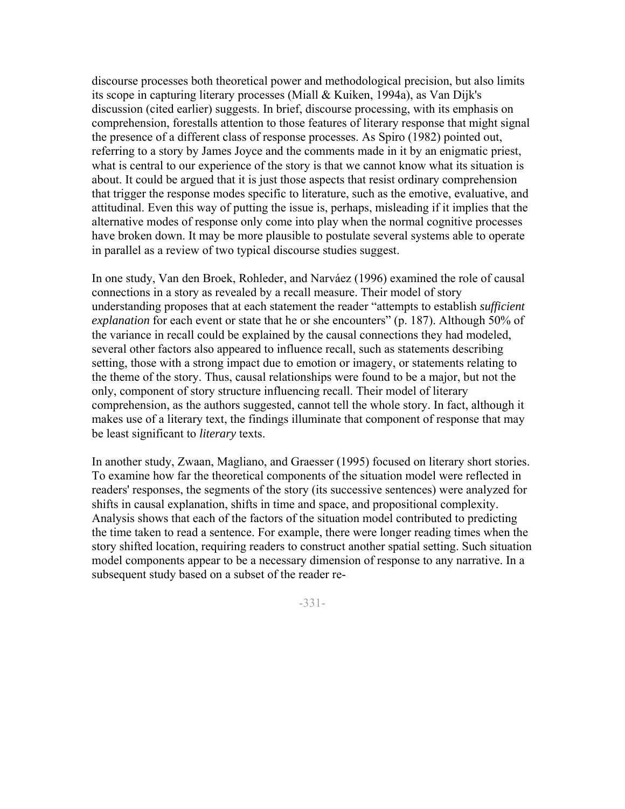discourse processes both theoretical power and methodological precision, but also limits its scope in capturing literary processes (Miall & Kuiken, 1994a), as Van Dijk's discussion (cited earlier) suggests. In brief, discourse processing, with its emphasis on comprehension, forestalls attention to those features of literary response that might signal the presence of a different class of response processes. As Spiro (1982) pointed out, referring to a story by James Joyce and the comments made in it by an enigmatic priest, what is central to our experience of the story is that we cannot know what its situation is about. It could be argued that it is just those aspects that resist ordinary comprehension that trigger the response modes specific to literature, such as the emotive, evaluative, and attitudinal. Even this way of putting the issue is, perhaps, misleading if it implies that the alternative modes of response only come into play when the normal cognitive processes have broken down. It may be more plausible to postulate several systems able to operate in parallel as a review of two typical discourse studies suggest.

In one study, Van den Broek, Rohleder, and Narváez (1996) examined the role of causal connections in a story as revealed by a recall measure. Their model of story understanding proposes that at each statement the reader "attempts to establish *sufficient explanation* for each event or state that he or she encounters" (p. 187). Although 50% of the variance in recall could be explained by the causal connections they had modeled, several other factors also appeared to influence recall, such as statements describing setting, those with a strong impact due to emotion or imagery, or statements relating to the theme of the story. Thus, causal relationships were found to be a major, but not the only, component of story structure influencing recall. Their model of literary comprehension, as the authors suggested, cannot tell the whole story. In fact, although it makes use of a literary text, the findings illuminate that component of response that may be least significant to *literary* texts.

In another study, Zwaan, Magliano, and Graesser (1995) focused on literary short stories. To examine how far the theoretical components of the situation model were reflected in readers' responses, the segments of the story (its successive sentences) were analyzed for shifts in causal explanation, shifts in time and space, and propositional complexity. Analysis shows that each of the factors of the situation model contributed to predicting the time taken to read a sentence. For example, there were longer reading times when the story shifted location, requiring readers to construct another spatial setting. Such situation model components appear to be a necessary dimension of response to any narrative. In a subsequent study based on a subset of the reader re-

-331-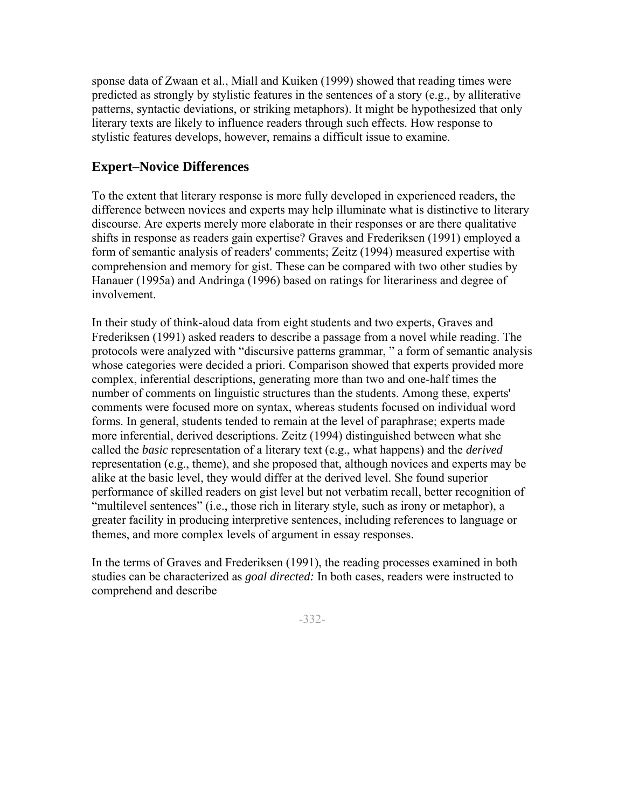sponse data of Zwaan et al., Miall and Kuiken (1999) showed that reading times were predicted as strongly by stylistic features in the sentences of a story (e.g., by alliterative patterns, syntactic deviations, or striking metaphors). It might be hypothesized that only literary texts are likely to influence readers through such effects. How response to stylistic features develops, however, remains a difficult issue to examine.

#### **Expert–Novice Differences**

To the extent that literary response is more fully developed in experienced readers, the difference between novices and experts may help illuminate what is distinctive to literary discourse. Are experts merely more elaborate in their responses or are there qualitative shifts in response as readers gain expertise? Graves and Frederiksen (1991) employed a form of semantic analysis of readers' comments; Zeitz (1994) measured expertise with comprehension and memory for gist. These can be compared with two other studies by Hanauer (1995a) and Andringa (1996) based on ratings for literariness and degree of involvement.

In their study of think-aloud data from eight students and two experts, Graves and Frederiksen (1991) asked readers to describe a passage from a novel while reading. The protocols were analyzed with "discursive patterns grammar, " a form of semantic analysis whose categories were decided a priori. Comparison showed that experts provided more complex, inferential descriptions, generating more than two and one-half times the number of comments on linguistic structures than the students. Among these, experts' comments were focused more on syntax, whereas students focused on individual word forms. In general, students tended to remain at the level of paraphrase; experts made more inferential, derived descriptions. Zeitz (1994) distinguished between what she called the *basic* representation of a literary text (e.g., what happens) and the *derived* representation (e.g., theme), and she proposed that, although novices and experts may be alike at the basic level, they would differ at the derived level. She found superior performance of skilled readers on gist level but not verbatim recall, better recognition of "multilevel sentences" (i.e., those rich in literary style, such as irony or metaphor), a greater facility in producing interpretive sentences, including references to language or themes, and more complex levels of argument in essay responses.

In the terms of Graves and Frederiksen (1991), the reading processes examined in both studies can be characterized as *goal directed:* In both cases, readers were instructed to comprehend and describe

-332-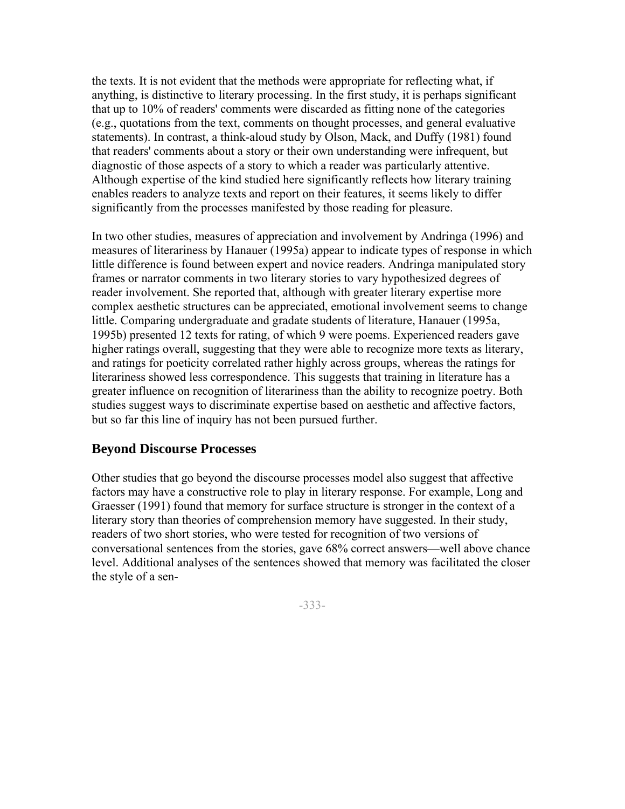the texts. It is not evident that the methods were appropriate for reflecting what, if anything, is distinctive to literary processing. In the first study, it is perhaps significant that up to 10% of readers' comments were discarded as fitting none of the categories (e.g., quotations from the text, comments on thought processes, and general evaluative statements). In contrast, a think-aloud study by Olson, Mack, and Duffy (1981) found that readers' comments about a story or their own understanding were infrequent, but diagnostic of those aspects of a story to which a reader was particularly attentive. Although expertise of the kind studied here significantly reflects how literary training enables readers to analyze texts and report on their features, it seems likely to differ significantly from the processes manifested by those reading for pleasure.

In two other studies, measures of appreciation and involvement by Andringa (1996) and measures of literariness by Hanauer (1995a) appear to indicate types of response in which little difference is found between expert and novice readers. Andringa manipulated story frames or narrator comments in two literary stories to vary hypothesized degrees of reader involvement. She reported that, although with greater literary expertise more complex aesthetic structures can be appreciated, emotional involvement seems to change little. Comparing undergraduate and gradate students of literature, Hanauer (1995a, 1995b) presented 12 texts for rating, of which 9 were poems. Experienced readers gave higher ratings overall, suggesting that they were able to recognize more texts as literary, and ratings for poeticity correlated rather highly across groups, whereas the ratings for literariness showed less correspondence. This suggests that training in literature has a greater influence on recognition of literariness than the ability to recognize poetry. Both studies suggest ways to discriminate expertise based on aesthetic and affective factors, but so far this line of inquiry has not been pursued further.

#### **Beyond Discourse Processes**

Other studies that go beyond the discourse processes model also suggest that affective factors may have a constructive role to play in literary response. For example, Long and Graesser (1991) found that memory for surface structure is stronger in the context of a literary story than theories of comprehension memory have suggested. In their study, readers of two short stories, who were tested for recognition of two versions of conversational sentences from the stories, gave 68% correct answers—well above chance level. Additional analyses of the sentences showed that memory was facilitated the closer the style of a sen-

-333-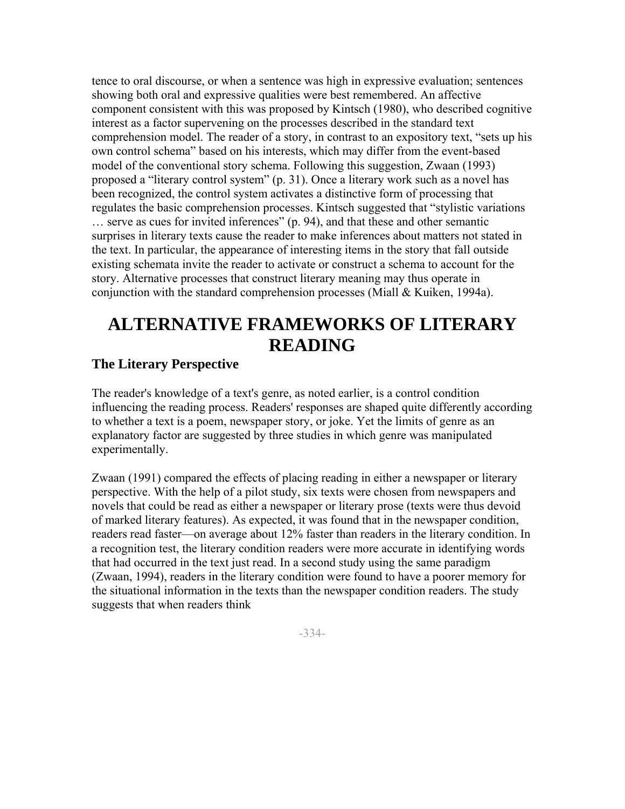tence to oral discourse, or when a sentence was high in expressive evaluation; sentences showing both oral and expressive qualities were best remembered. An affective component consistent with this was proposed by Kintsch (1980), who described cognitive interest as a factor supervening on the processes described in the standard text comprehension model. The reader of a story, in contrast to an expository text, "sets up his own control schema" based on his interests, which may differ from the event-based model of the conventional story schema. Following this suggestion, Zwaan (1993) proposed a "literary control system" (p. 31). Once a literary work such as a novel has been recognized, the control system activates a distinctive form of processing that regulates the basic comprehension processes. Kintsch suggested that "stylistic variations … serve as cues for invited inferences" (p. 94), and that these and other semantic surprises in literary texts cause the reader to make inferences about matters not stated in the text. In particular, the appearance of interesting items in the story that fall outside existing schemata invite the reader to activate or construct a schema to account for the story. Alternative processes that construct literary meaning may thus operate in conjunction with the standard comprehension processes (Miall & Kuiken, 1994a).

# **ALTERNATIVE FRAMEWORKS OF LITERARY READING**

#### **The Literary Perspective**

The reader's knowledge of a text's genre, as noted earlier, is a control condition influencing the reading process. Readers' responses are shaped quite differently according to whether a text is a poem, newspaper story, or joke. Yet the limits of genre as an explanatory factor are suggested by three studies in which genre was manipulated experimentally.

Zwaan (1991) compared the effects of placing reading in either a newspaper or literary perspective. With the help of a pilot study, six texts were chosen from newspapers and novels that could be read as either a newspaper or literary prose (texts were thus devoid of marked literary features). As expected, it was found that in the newspaper condition, readers read faster—on average about 12% faster than readers in the literary condition. In a recognition test, the literary condition readers were more accurate in identifying words that had occurred in the text just read. In a second study using the same paradigm (Zwaan, 1994), readers in the literary condition were found to have a poorer memory for the situational information in the texts than the newspaper condition readers. The study suggests that when readers think

-334-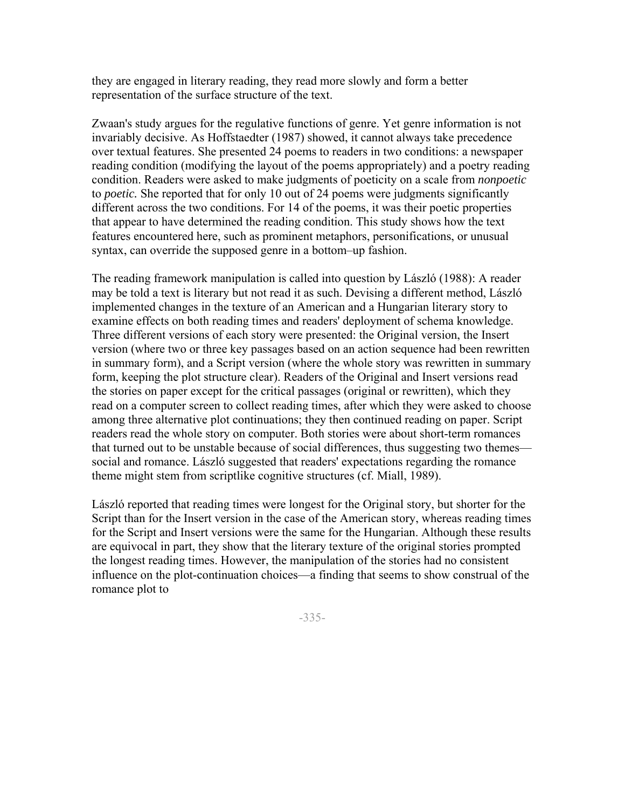they are engaged in literary reading, they read more slowly and form a better representation of the surface structure of the text.

Zwaan's study argues for the regulative functions of genre. Yet genre information is not invariably decisive. As Hoffstaedter (1987) showed, it cannot always take precedence over textual features. She presented 24 poems to readers in two conditions: a newspaper reading condition (modifying the layout of the poems appropriately) and a poetry reading condition. Readers were asked to make judgments of poeticity on a scale from *nonpoetic* to *poetic.* She reported that for only 10 out of 24 poems were judgments significantly different across the two conditions. For 14 of the poems, it was their poetic properties that appear to have determined the reading condition. This study shows how the text features encountered here, such as prominent metaphors, personifications, or unusual syntax, can override the supposed genre in a bottom–up fashion.

The reading framework manipulation is called into question by László (1988): A reader may be told a text is literary but not read it as such. Devising a different method, László implemented changes in the texture of an American and a Hungarian literary story to examine effects on both reading times and readers' deployment of schema knowledge. Three different versions of each story were presented: the Original version, the Insert version (where two or three key passages based on an action sequence had been rewritten in summary form), and a Script version (where the whole story was rewritten in summary form, keeping the plot structure clear). Readers of the Original and Insert versions read the stories on paper except for the critical passages (original or rewritten), which they read on a computer screen to collect reading times, after which they were asked to choose among three alternative plot continuations; they then continued reading on paper. Script readers read the whole story on computer. Both stories were about short-term romances that turned out to be unstable because of social differences, thus suggesting two themes social and romance. László suggested that readers' expectations regarding the romance theme might stem from scriptlike cognitive structures (cf. Miall, 1989).

László reported that reading times were longest for the Original story, but shorter for the Script than for the Insert version in the case of the American story, whereas reading times for the Script and Insert versions were the same for the Hungarian. Although these results are equivocal in part, they show that the literary texture of the original stories prompted the longest reading times. However, the manipulation of the stories had no consistent influence on the plot-continuation choices—a finding that seems to show construal of the romance plot to

-335-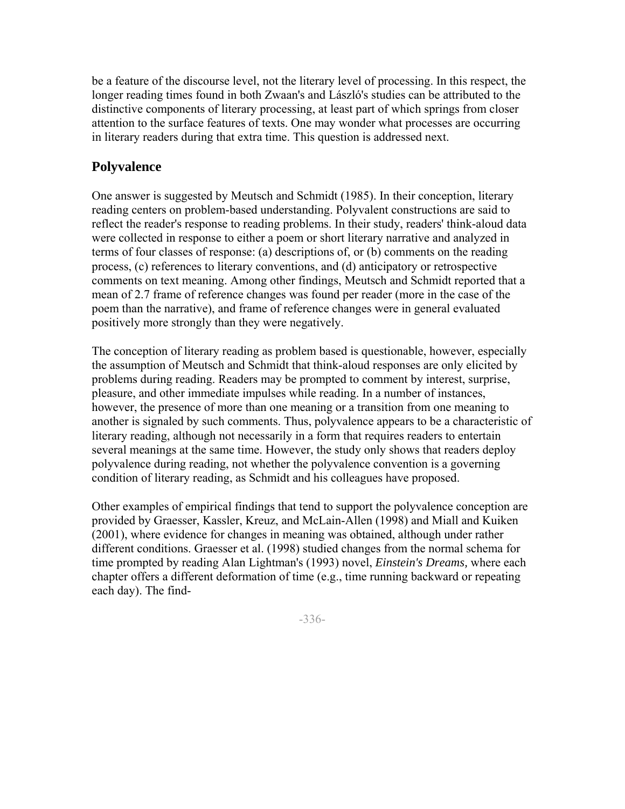be a feature of the discourse level, not the literary level of processing. In this respect, the longer reading times found in both Zwaan's and László's studies can be attributed to the distinctive components of literary processing, at least part of which springs from closer attention to the surface features of texts. One may wonder what processes are occurring in literary readers during that extra time. This question is addressed next.

#### **Polyvalence**

One answer is suggested by Meutsch and Schmidt (1985). In their conception, literary reading centers on problem-based understanding. Polyvalent constructions are said to reflect the reader's response to reading problems. In their study, readers' think-aloud data were collected in response to either a poem or short literary narrative and analyzed in terms of four classes of response: (a) descriptions of, or (b) comments on the reading process, (c) references to literary conventions, and (d) anticipatory or retrospective comments on text meaning. Among other findings, Meutsch and Schmidt reported that a mean of 2.7 frame of reference changes was found per reader (more in the case of the poem than the narrative), and frame of reference changes were in general evaluated positively more strongly than they were negatively.

The conception of literary reading as problem based is questionable, however, especially the assumption of Meutsch and Schmidt that think-aloud responses are only elicited by problems during reading. Readers may be prompted to comment by interest, surprise, pleasure, and other immediate impulses while reading. In a number of instances, however, the presence of more than one meaning or a transition from one meaning to another is signaled by such comments. Thus, polyvalence appears to be a characteristic of literary reading, although not necessarily in a form that requires readers to entertain several meanings at the same time. However, the study only shows that readers deploy polyvalence during reading, not whether the polyvalence convention is a governing condition of literary reading, as Schmidt and his colleagues have proposed.

Other examples of empirical findings that tend to support the polyvalence conception are provided by Graesser, Kassler, Kreuz, and McLain-Allen (1998) and Miall and Kuiken (2001), where evidence for changes in meaning was obtained, although under rather different conditions. Graesser et al. (1998) studied changes from the normal schema for time prompted by reading Alan Lightman's (1993) novel, *Einstein's Dreams,* where each chapter offers a different deformation of time (e.g., time running backward or repeating each day). The find-

-336-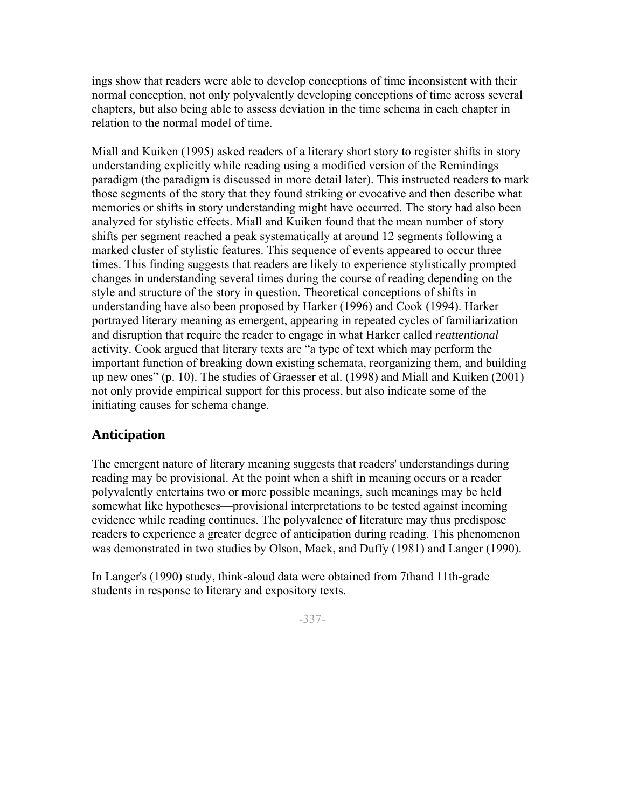ings show that readers were able to develop conceptions of time inconsistent with their normal conception, not only polyvalently developing conceptions of time across several chapters, but also being able to assess deviation in the time schema in each chapter in relation to the normal model of time.

Miall and Kuiken (1995) asked readers of a literary short story to register shifts in story understanding explicitly while reading using a modified version of the Remindings paradigm (the paradigm is discussed in more detail later). This instructed readers to mark those segments of the story that they found striking or evocative and then describe what memories or shifts in story understanding might have occurred. The story had also been analyzed for stylistic effects. Miall and Kuiken found that the mean number of story shifts per segment reached a peak systematically at around 12 segments following a marked cluster of stylistic features. This sequence of events appeared to occur three times. This finding suggests that readers are likely to experience stylistically prompted changes in understanding several times during the course of reading depending on the style and structure of the story in question. Theoretical conceptions of shifts in understanding have also been proposed by Harker (1996) and Cook (1994). Harker portrayed literary meaning as emergent, appearing in repeated cycles of familiarization and disruption that require the reader to engage in what Harker called *reattentional* activity. Cook argued that literary texts are "a type of text which may perform the important function of breaking down existing schemata, reorganizing them, and building up new ones" (p. 10). The studies of Graesser et al. (1998) and Miall and Kuiken (2001) not only provide empirical support for this process, but also indicate some of the initiating causes for schema change.

### **Anticipation**

The emergent nature of literary meaning suggests that readers' understandings during reading may be provisional. At the point when a shift in meaning occurs or a reader polyvalently entertains two or more possible meanings, such meanings may be held somewhat like hypotheses—provisional interpretations to be tested against incoming evidence while reading continues. The polyvalence of literature may thus predispose readers to experience a greater degree of anticipation during reading. This phenomenon was demonstrated in two studies by Olson, Mack, and Duffy (1981) and Langer (1990).

In Langer's (1990) study, think-aloud data were obtained from 7thand 11th-grade students in response to literary and expository texts.

-337-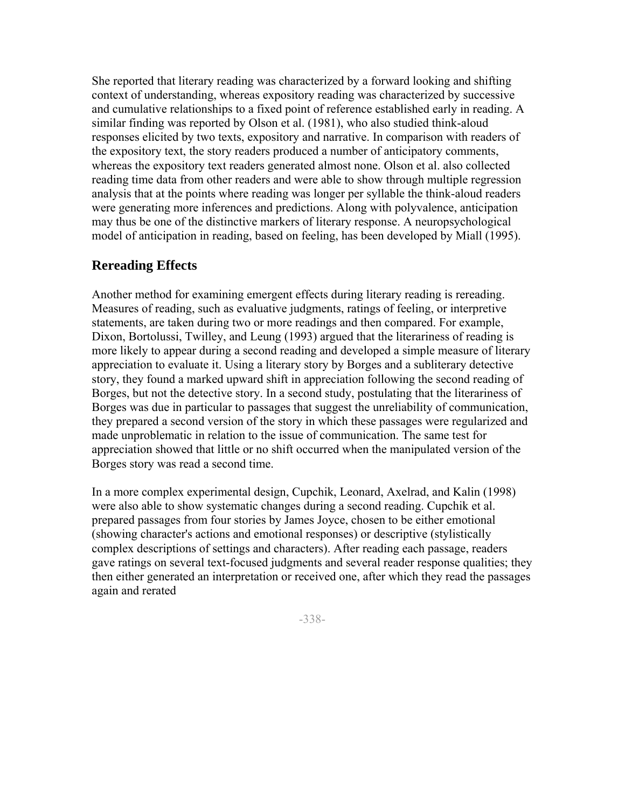She reported that literary reading was characterized by a forward looking and shifting context of understanding, whereas expository reading was characterized by successive and cumulative relationships to a fixed point of reference established early in reading. A similar finding was reported by Olson et al. (1981), who also studied think-aloud responses elicited by two texts, expository and narrative. In comparison with readers of the expository text, the story readers produced a number of anticipatory comments, whereas the expository text readers generated almost none. Olson et al. also collected reading time data from other readers and were able to show through multiple regression analysis that at the points where reading was longer per syllable the think-aloud readers were generating more inferences and predictions. Along with polyvalence, anticipation may thus be one of the distinctive markers of literary response. A neuropsychological model of anticipation in reading, based on feeling, has been developed by Miall (1995).

### **Rereading Effects**

Another method for examining emergent effects during literary reading is rereading. Measures of reading, such as evaluative judgments, ratings of feeling, or interpretive statements, are taken during two or more readings and then compared. For example, Dixon, Bortolussi, Twilley, and Leung (1993) argued that the literariness of reading is more likely to appear during a second reading and developed a simple measure of literary appreciation to evaluate it. Using a literary story by Borges and a subliterary detective story, they found a marked upward shift in appreciation following the second reading of Borges, but not the detective story. In a second study, postulating that the literariness of Borges was due in particular to passages that suggest the unreliability of communication, they prepared a second version of the story in which these passages were regularized and made unproblematic in relation to the issue of communication. The same test for appreciation showed that little or no shift occurred when the manipulated version of the Borges story was read a second time.

In a more complex experimental design, Cupchik, Leonard, Axelrad, and Kalin (1998) were also able to show systematic changes during a second reading. Cupchik et al. prepared passages from four stories by James Joyce, chosen to be either emotional (showing character's actions and emotional responses) or descriptive (stylistically complex descriptions of settings and characters). After reading each passage, readers gave ratings on several text-focused judgments and several reader response qualities; they then either generated an interpretation or received one, after which they read the passages again and rerated

-338-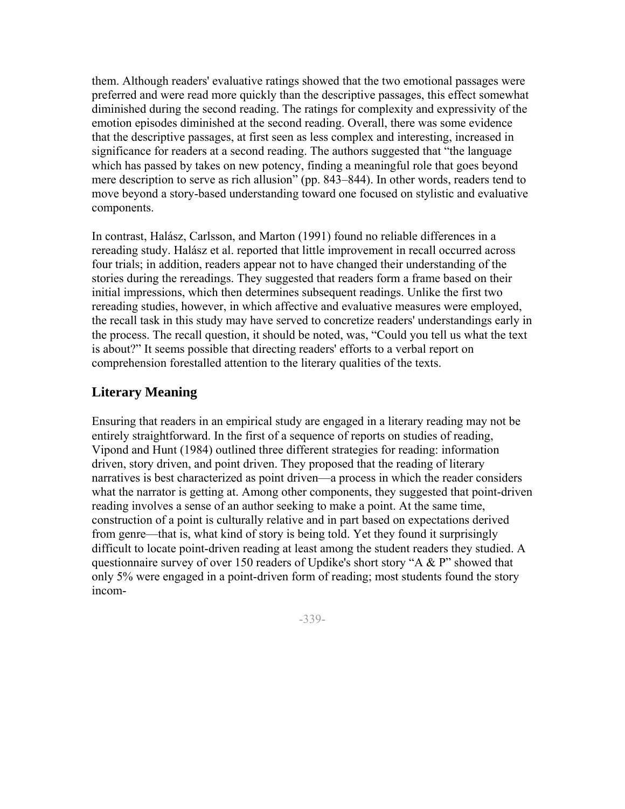them. Although readers' evaluative ratings showed that the two emotional passages were preferred and were read more quickly than the descriptive passages, this effect somewhat diminished during the second reading. The ratings for complexity and expressivity of the emotion episodes diminished at the second reading. Overall, there was some evidence that the descriptive passages, at first seen as less complex and interesting, increased in significance for readers at a second reading. The authors suggested that "the language which has passed by takes on new potency, finding a meaningful role that goes beyond mere description to serve as rich allusion" (pp. 843–844). In other words, readers tend to move beyond a story-based understanding toward one focused on stylistic and evaluative components.

In contrast, Halász, Carlsson, and Marton (1991) found no reliable differences in a rereading study. Halász et al. reported that little improvement in recall occurred across four trials; in addition, readers appear not to have changed their understanding of the stories during the rereadings. They suggested that readers form a frame based on their initial impressions, which then determines subsequent readings. Unlike the first two rereading studies, however, in which affective and evaluative measures were employed, the recall task in this study may have served to concretize readers' understandings early in the process. The recall question, it should be noted, was, "Could you tell us what the text is about?" It seems possible that directing readers' efforts to a verbal report on comprehension forestalled attention to the literary qualities of the texts.

### **Literary Meaning**

Ensuring that readers in an empirical study are engaged in a literary reading may not be entirely straightforward. In the first of a sequence of reports on studies of reading, Vipond and Hunt (1984) outlined three different strategies for reading: information driven, story driven, and point driven. They proposed that the reading of literary narratives is best characterized as point driven—a process in which the reader considers what the narrator is getting at. Among other components, they suggested that point-driven reading involves a sense of an author seeking to make a point. At the same time, construction of a point is culturally relative and in part based on expectations derived from genre—that is, what kind of story is being told. Yet they found it surprisingly difficult to locate point-driven reading at least among the student readers they studied. A questionnaire survey of over 150 readers of Updike's short story "A  $\&$  P" showed that only 5% were engaged in a point-driven form of reading; most students found the story incom-

-339-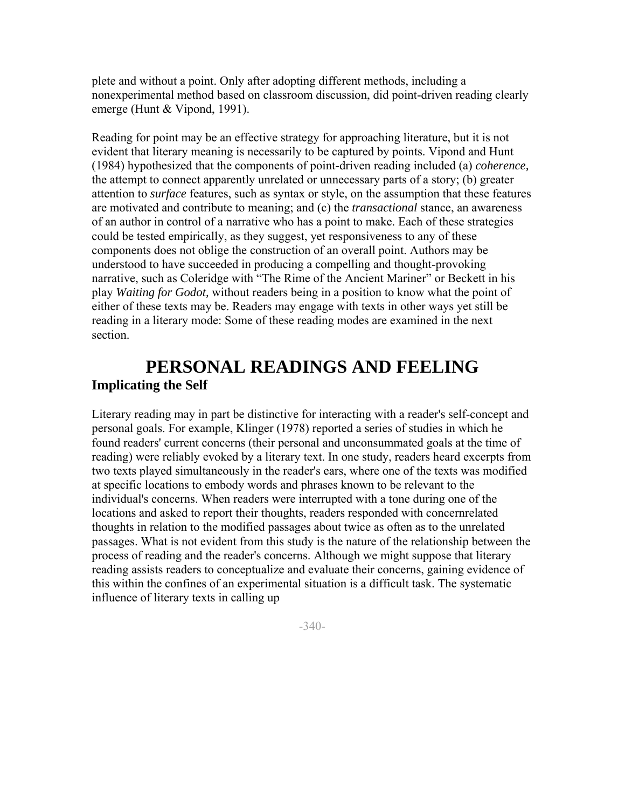plete and without a point. Only after adopting different methods, including a nonexperimental method based on classroom discussion, did point-driven reading clearly emerge (Hunt & Vipond, 1991).

Reading for point may be an effective strategy for approaching literature, but it is not evident that literary meaning is necessarily to be captured by points. Vipond and Hunt (1984) hypothesized that the components of point-driven reading included (a) *coherence,* the attempt to connect apparently unrelated or unnecessary parts of a story; (b) greater attention to *surface* features, such as syntax or style, on the assumption that these features are motivated and contribute to meaning; and (c) the *transactional* stance, an awareness of an author in control of a narrative who has a point to make. Each of these strategies could be tested empirically, as they suggest, yet responsiveness to any of these components does not oblige the construction of an overall point. Authors may be understood to have succeeded in producing a compelling and thought-provoking narrative, such as Coleridge with "The Rime of the Ancient Mariner" or Beckett in his play *Waiting for Godot,* without readers being in a position to know what the point of either of these texts may be. Readers may engage with texts in other ways yet still be reading in a literary mode: Some of these reading modes are examined in the next section.

### **PERSONAL READINGS AND FEELING Implicating the Self**

Literary reading may in part be distinctive for interacting with a reader's self-concept and personal goals. For example, Klinger (1978) reported a series of studies in which he found readers' current concerns (their personal and unconsummated goals at the time of reading) were reliably evoked by a literary text. In one study, readers heard excerpts from two texts played simultaneously in the reader's ears, where one of the texts was modified at specific locations to embody words and phrases known to be relevant to the individual's concerns. When readers were interrupted with a tone during one of the locations and asked to report their thoughts, readers responded with concernrelated thoughts in relation to the modified passages about twice as often as to the unrelated passages. What is not evident from this study is the nature of the relationship between the process of reading and the reader's concerns. Although we might suppose that literary reading assists readers to conceptualize and evaluate their concerns, gaining evidence of this within the confines of an experimental situation is a difficult task. The systematic influence of literary texts in calling up

 $-340-$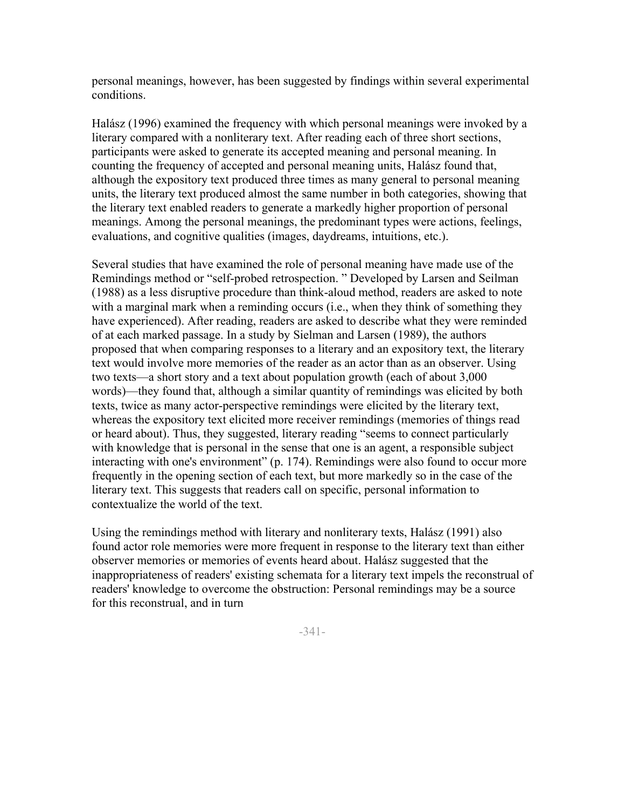personal meanings, however, has been suggested by findings within several experimental conditions.

Halász (1996) examined the frequency with which personal meanings were invoked by a literary compared with a nonliterary text. After reading each of three short sections, participants were asked to generate its accepted meaning and personal meaning. In counting the frequency of accepted and personal meaning units, Halász found that, although the expository text produced three times as many general to personal meaning units, the literary text produced almost the same number in both categories, showing that the literary text enabled readers to generate a markedly higher proportion of personal meanings. Among the personal meanings, the predominant types were actions, feelings, evaluations, and cognitive qualities (images, daydreams, intuitions, etc.).

Several studies that have examined the role of personal meaning have made use of the Remindings method or "self-probed retrospection. " Developed by Larsen and Seilman (1988) as a less disruptive procedure than think-aloud method, readers are asked to note with a marginal mark when a reminding occurs (i.e., when they think of something they have experienced). After reading, readers are asked to describe what they were reminded of at each marked passage. In a study by Sielman and Larsen (1989), the authors proposed that when comparing responses to a literary and an expository text, the literary text would involve more memories of the reader as an actor than as an observer. Using two texts—a short story and a text about population growth (each of about 3,000 words)—they found that, although a similar quantity of remindings was elicited by both texts, twice as many actor-perspective remindings were elicited by the literary text, whereas the expository text elicited more receiver remindings (memories of things read or heard about). Thus, they suggested, literary reading "seems to connect particularly with knowledge that is personal in the sense that one is an agent, a responsible subject interacting with one's environment" (p. 174). Remindings were also found to occur more frequently in the opening section of each text, but more markedly so in the case of the literary text. This suggests that readers call on specific, personal information to contextualize the world of the text.

Using the remindings method with literary and nonliterary texts, Halász (1991) also found actor role memories were more frequent in response to the literary text than either observer memories or memories of events heard about. Halász suggested that the inappropriateness of readers' existing schemata for a literary text impels the reconstrual of readers' knowledge to overcome the obstruction: Personal remindings may be a source for this reconstrual, and in turn

-341-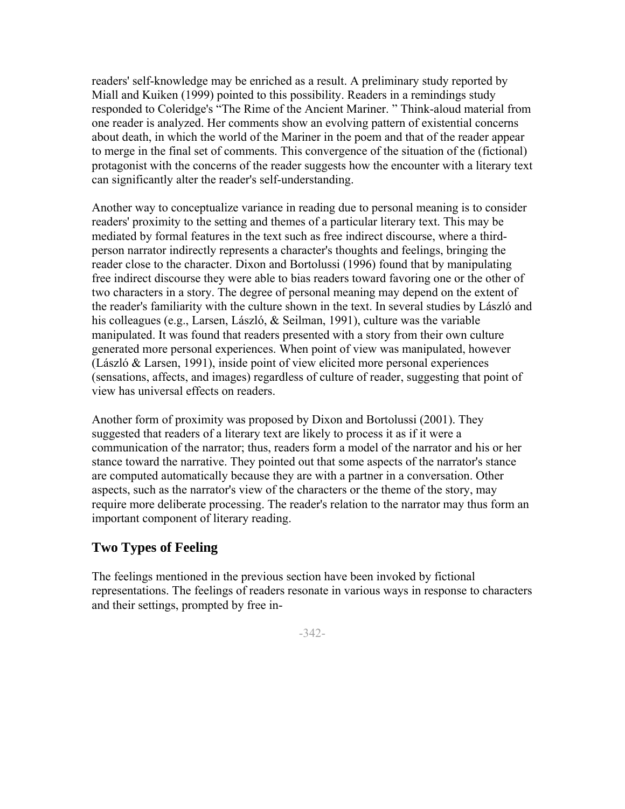readers' self-knowledge may be enriched as a result. A preliminary study reported by Miall and Kuiken (1999) pointed to this possibility. Readers in a remindings study responded to Coleridge's "The Rime of the Ancient Mariner. " Think-aloud material from one reader is analyzed. Her comments show an evolving pattern of existential concerns about death, in which the world of the Mariner in the poem and that of the reader appear to merge in the final set of comments. This convergence of the situation of the (fictional) protagonist with the concerns of the reader suggests how the encounter with a literary text can significantly alter the reader's self-understanding.

Another way to conceptualize variance in reading due to personal meaning is to consider readers' proximity to the setting and themes of a particular literary text. This may be mediated by formal features in the text such as free indirect discourse, where a thirdperson narrator indirectly represents a character's thoughts and feelings, bringing the reader close to the character. Dixon and Bortolussi (1996) found that by manipulating free indirect discourse they were able to bias readers toward favoring one or the other of two characters in a story. The degree of personal meaning may depend on the extent of the reader's familiarity with the culture shown in the text. In several studies by László and his colleagues (e.g., Larsen, László, & Seilman, 1991), culture was the variable manipulated. It was found that readers presented with a story from their own culture generated more personal experiences. When point of view was manipulated, however (László & Larsen, 1991), inside point of view elicited more personal experiences (sensations, affects, and images) regardless of culture of reader, suggesting that point of view has universal effects on readers.

Another form of proximity was proposed by Dixon and Bortolussi (2001). They suggested that readers of a literary text are likely to process it as if it were a communication of the narrator; thus, readers form a model of the narrator and his or her stance toward the narrative. They pointed out that some aspects of the narrator's stance are computed automatically because they are with a partner in a conversation. Other aspects, such as the narrator's view of the characters or the theme of the story, may require more deliberate processing. The reader's relation to the narrator may thus form an important component of literary reading.

### **Two Types of Feeling**

The feelings mentioned in the previous section have been invoked by fictional representations. The feelings of readers resonate in various ways in response to characters and their settings, prompted by free in-

-342-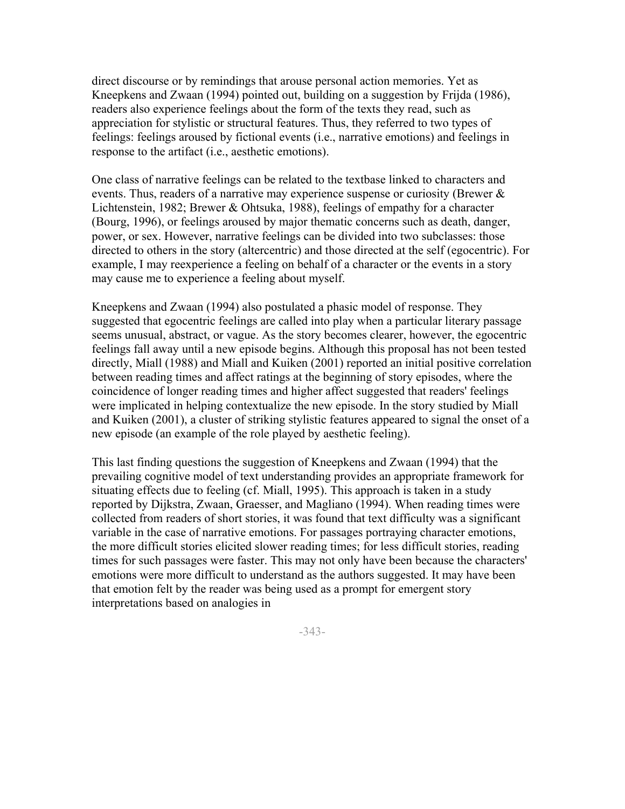direct discourse or by remindings that arouse personal action memories. Yet as Kneepkens and Zwaan (1994) pointed out, building on a suggestion by Frijda (1986), readers also experience feelings about the form of the texts they read, such as appreciation for stylistic or structural features. Thus, they referred to two types of feelings: feelings aroused by fictional events (i.e., narrative emotions) and feelings in response to the artifact (i.e., aesthetic emotions).

One class of narrative feelings can be related to the textbase linked to characters and events. Thus, readers of a narrative may experience suspense or curiosity (Brewer & Lichtenstein, 1982; Brewer & Ohtsuka, 1988), feelings of empathy for a character (Bourg, 1996), or feelings aroused by major thematic concerns such as death, danger, power, or sex. However, narrative feelings can be divided into two subclasses: those directed to others in the story (altercentric) and those directed at the self (egocentric). For example, I may reexperience a feeling on behalf of a character or the events in a story may cause me to experience a feeling about myself.

Kneepkens and Zwaan (1994) also postulated a phasic model of response. They suggested that egocentric feelings are called into play when a particular literary passage seems unusual, abstract, or vague. As the story becomes clearer, however, the egocentric feelings fall away until a new episode begins. Although this proposal has not been tested directly, Miall (1988) and Miall and Kuiken (2001) reported an initial positive correlation between reading times and affect ratings at the beginning of story episodes, where the coincidence of longer reading times and higher affect suggested that readers' feelings were implicated in helping contextualize the new episode. In the story studied by Miall and Kuiken (2001), a cluster of striking stylistic features appeared to signal the onset of a new episode (an example of the role played by aesthetic feeling).

This last finding questions the suggestion of Kneepkens and Zwaan (1994) that the prevailing cognitive model of text understanding provides an appropriate framework for situating effects due to feeling (cf. Miall, 1995). This approach is taken in a study reported by Dijkstra, Zwaan, Graesser, and Magliano (1994). When reading times were collected from readers of short stories, it was found that text difficulty was a significant variable in the case of narrative emotions. For passages portraying character emotions, the more difficult stories elicited slower reading times; for less difficult stories, reading times for such passages were faster. This may not only have been because the characters' emotions were more difficult to understand as the authors suggested. It may have been that emotion felt by the reader was being used as a prompt for emergent story interpretations based on analogies in

-343-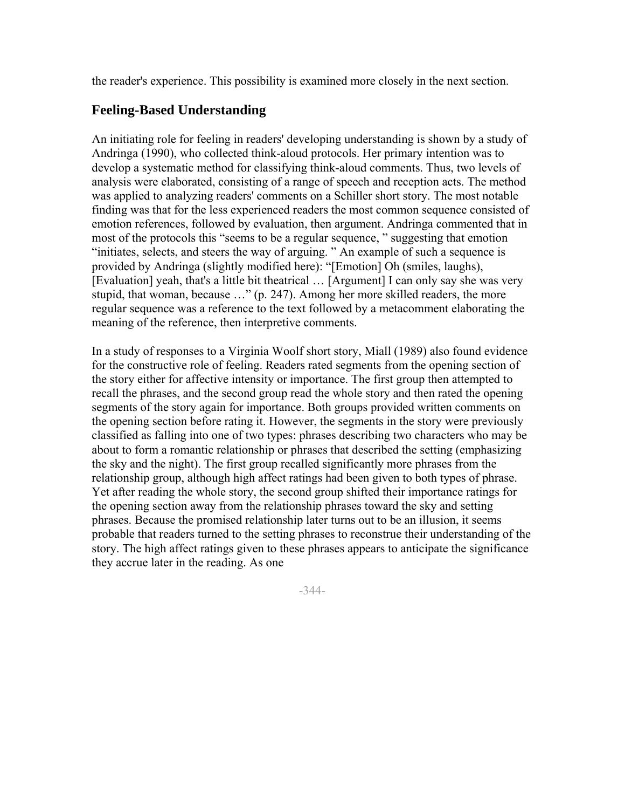the reader's experience. This possibility is examined more closely in the next section.

#### **Feeling-Based Understanding**

An initiating role for feeling in readers' developing understanding is shown by a study of Andringa (1990), who collected think-aloud protocols. Her primary intention was to develop a systematic method for classifying think-aloud comments. Thus, two levels of analysis were elaborated, consisting of a range of speech and reception acts. The method was applied to analyzing readers' comments on a Schiller short story. The most notable finding was that for the less experienced readers the most common sequence consisted of emotion references, followed by evaluation, then argument. Andringa commented that in most of the protocols this "seems to be a regular sequence, " suggesting that emotion "initiates, selects, and steers the way of arguing. " An example of such a sequence is provided by Andringa (slightly modified here): "[Emotion] Oh (smiles, laughs), [Evaluation] yeah, that's a little bit theatrical … [Argument] I can only say she was very stupid, that woman, because …" (p. 247). Among her more skilled readers, the more regular sequence was a reference to the text followed by a metacomment elaborating the meaning of the reference, then interpretive comments.

In a study of responses to a Virginia Woolf short story, Miall (1989) also found evidence for the constructive role of feeling. Readers rated segments from the opening section of the story either for affective intensity or importance. The first group then attempted to recall the phrases, and the second group read the whole story and then rated the opening segments of the story again for importance. Both groups provided written comments on the opening section before rating it. However, the segments in the story were previously classified as falling into one of two types: phrases describing two characters who may be about to form a romantic relationship or phrases that described the setting (emphasizing the sky and the night). The first group recalled significantly more phrases from the relationship group, although high affect ratings had been given to both types of phrase. Yet after reading the whole story, the second group shifted their importance ratings for the opening section away from the relationship phrases toward the sky and setting phrases. Because the promised relationship later turns out to be an illusion, it seems probable that readers turned to the setting phrases to reconstrue their understanding of the story. The high affect ratings given to these phrases appears to anticipate the significance they accrue later in the reading. As one

-344-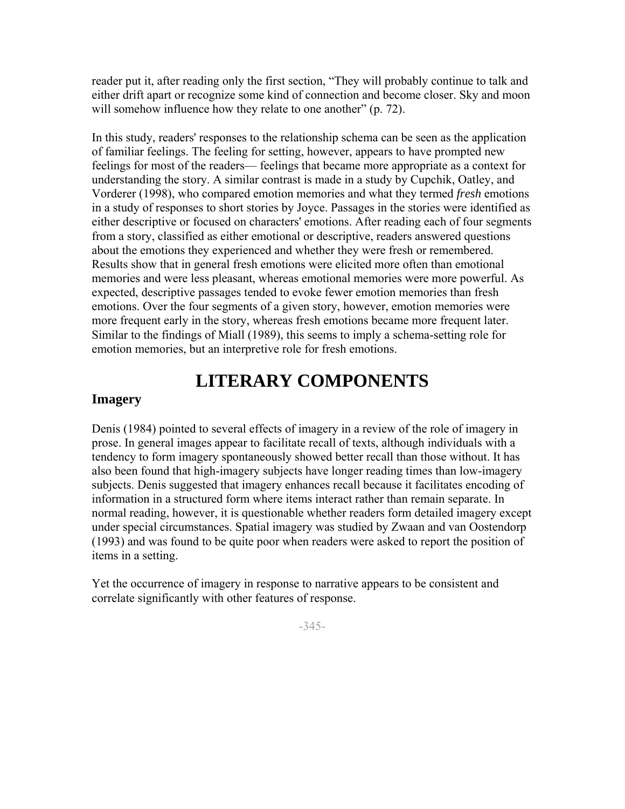reader put it, after reading only the first section, "They will probably continue to talk and either drift apart or recognize some kind of connection and become closer. Sky and moon will somehow influence how they relate to one another" (p. 72).

In this study, readers' responses to the relationship schema can be seen as the application of familiar feelings. The feeling for setting, however, appears to have prompted new feelings for most of the readers— feelings that became more appropriate as a context for understanding the story. A similar contrast is made in a study by Cupchik, Oatley, and Vorderer (1998), who compared emotion memories and what they termed *fresh* emotions in a study of responses to short stories by Joyce. Passages in the stories were identified as either descriptive or focused on characters' emotions. After reading each of four segments from a story, classified as either emotional or descriptive, readers answered questions about the emotions they experienced and whether they were fresh or remembered. Results show that in general fresh emotions were elicited more often than emotional memories and were less pleasant, whereas emotional memories were more powerful. As expected, descriptive passages tended to evoke fewer emotion memories than fresh emotions. Over the four segments of a given story, however, emotion memories were more frequent early in the story, whereas fresh emotions became more frequent later. Similar to the findings of Miall (1989), this seems to imply a schema-setting role for emotion memories, but an interpretive role for fresh emotions.

# **LITERARY COMPONENTS**

#### **Imagery**

Denis (1984) pointed to several effects of imagery in a review of the role of imagery in prose. In general images appear to facilitate recall of texts, although individuals with a tendency to form imagery spontaneously showed better recall than those without. It has also been found that high-imagery subjects have longer reading times than low-imagery subjects. Denis suggested that imagery enhances recall because it facilitates encoding of information in a structured form where items interact rather than remain separate. In normal reading, however, it is questionable whether readers form detailed imagery except under special circumstances. Spatial imagery was studied by Zwaan and van Oostendorp (1993) and was found to be quite poor when readers were asked to report the position of items in a setting.

Yet the occurrence of imagery in response to narrative appears to be consistent and correlate significantly with other features of response.

-345-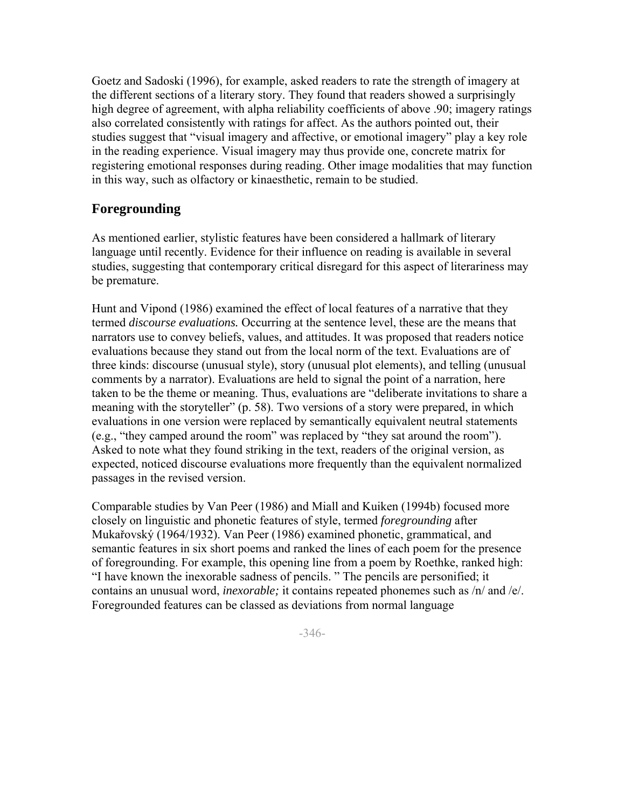Goetz and Sadoski (1996), for example, asked readers to rate the strength of imagery at the different sections of a literary story. They found that readers showed a surprisingly high degree of agreement, with alpha reliability coefficients of above .90; imagery ratings also correlated consistently with ratings for affect. As the authors pointed out, their studies suggest that "visual imagery and affective, or emotional imagery" play a key role in the reading experience. Visual imagery may thus provide one, concrete matrix for registering emotional responses during reading. Other image modalities that may function in this way, such as olfactory or kinaesthetic, remain to be studied.

### **Foregrounding**

As mentioned earlier, stylistic features have been considered a hallmark of literary language until recently. Evidence for their influence on reading is available in several studies, suggesting that contemporary critical disregard for this aspect of literariness may be premature.

Hunt and Vipond (1986) examined the effect of local features of a narrative that they termed *discourse evaluations.* Occurring at the sentence level, these are the means that narrators use to convey beliefs, values, and attitudes. It was proposed that readers notice evaluations because they stand out from the local norm of the text. Evaluations are of three kinds: discourse (unusual style), story (unusual plot elements), and telling (unusual comments by a narrator). Evaluations are held to signal the point of a narration, here taken to be the theme or meaning. Thus, evaluations are "deliberate invitations to share a meaning with the storyteller" (p. 58). Two versions of a story were prepared, in which evaluations in one version were replaced by semantically equivalent neutral statements (e.g., "they camped around the room" was replaced by "they sat around the room"). Asked to note what they found striking in the text, readers of the original version, as expected, noticed discourse evaluations more frequently than the equivalent normalized passages in the revised version.

Comparable studies by Van Peer (1986) and Miall and Kuiken (1994b) focused more closely on linguistic and phonetic features of style, termed *foregrounding* after Mukařovský (1964/1932). Van Peer (1986) examined phonetic, grammatical, and semantic features in six short poems and ranked the lines of each poem for the presence of foregrounding. For example, this opening line from a poem by Roethke, ranked high: "I have known the inexorable sadness of pencils. " The pencils are personified; it contains an unusual word, *inexorable;* it contains repeated phonemes such as /n/ and /e/. Foregrounded features can be classed as deviations from normal language

-346-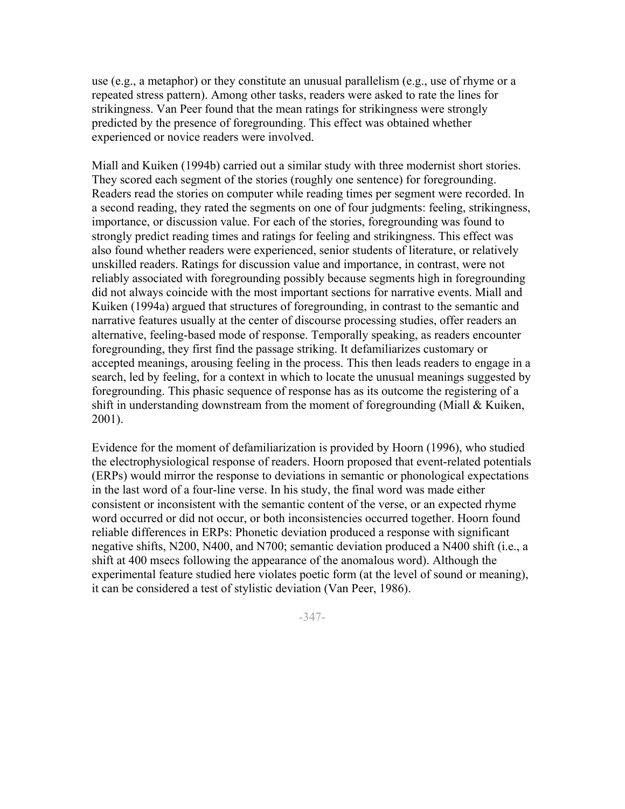use (e.g., a metaphor) or they constitute an unusual parallelism (e.g., use of rhyme or a repeated stress pattern). Among other tasks, readers were asked to rate the lines for strikingness. Van Peer found that the mean ratings for strikingness were strongly predicted by the presence of foregrounding. This effect was obtained whether experienced or novice readers were involved.

Miall and Kuiken (1994b) carried out a similar study with three modernist short stories. They scored each segment of the stories (roughly one sentence) for foregrounding. Readers read the stories on computer while reading times per segment were recorded. In a second reading, they rated the segments on one of four judgments: feeling, strikingness, importance, or discussion value. For each of the stories, foregrounding was found to strongly predict reading times and ratings for feeling and strikingness. This effect was also found whether readers were experienced, senior students of literature, or relatively unskilled readers. Ratings for discussion value and importance, in contrast, were not reliably associated with foregrounding possibly because segments high in foregrounding did not always coincide with the most important sections for narrative events. Miall and Kuiken (1994a) argued that structures of foregrounding, in contrast to the semantic and narrative features usually at the center of discourse processing studies, offer readers an alternative, feeling-based mode of response. Temporally speaking, as readers encounter foregrounding, they first find the passage striking. It defamiliarizes customary or accepted meanings, arousing feeling in the process. This then leads readers to engage in a search, led by feeling, for a context in which to locate the unusual meanings suggested by foregrounding. This phasic sequence of response has as its outcome the registering of a shift in understanding downstream from the moment of foregrounding (Miall & Kuiken, 2001).

Evidence for the moment of defamiliarization is provided by Hoorn (1996), who studied the electrophysiological response of readers. Hoorn proposed that event-related potentials (ERPs) would mirror the response to deviations in semantic or phonological expectations in the last word of a four-line verse. In his study, the final word was made either consistent or inconsistent with the semantic content of the verse, or an expected rhyme word occurred or did not occur, or both inconsistencies occurred together. Hoorn found reliable differences in ERPs: Phonetic deviation produced a response with significant negative shifts, N200, N400, and N700; semantic deviation produced a N400 shift (i.e., a shift at 400 msecs following the appearance of the anomalous word). Although the experimental feature studied here violates poetic form (at the level of sound or meaning), it can be considered a test of stylistic deviation (Van Peer, 1986).

-347-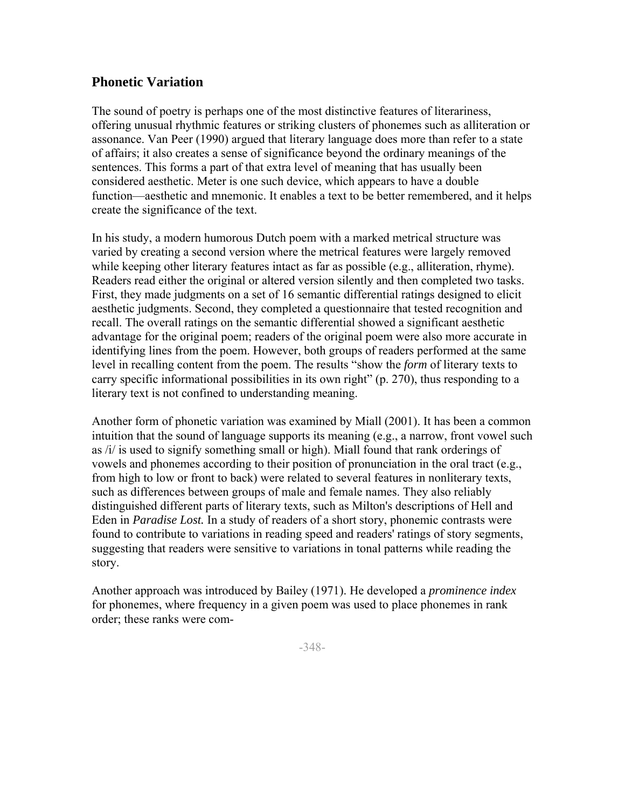#### **Phonetic Variation**

The sound of poetry is perhaps one of the most distinctive features of literariness, offering unusual rhythmic features or striking clusters of phonemes such as alliteration or assonance. Van Peer (1990) argued that literary language does more than refer to a state of affairs; it also creates a sense of significance beyond the ordinary meanings of the sentences. This forms a part of that extra level of meaning that has usually been considered aesthetic. Meter is one such device, which appears to have a double function—aesthetic and mnemonic. It enables a text to be better remembered, and it helps create the significance of the text.

In his study, a modern humorous Dutch poem with a marked metrical structure was varied by creating a second version where the metrical features were largely removed while keeping other literary features intact as far as possible (e.g., alliteration, rhyme). Readers read either the original or altered version silently and then completed two tasks. First, they made judgments on a set of 16 semantic differential ratings designed to elicit aesthetic judgments. Second, they completed a questionnaire that tested recognition and recall. The overall ratings on the semantic differential showed a significant aesthetic advantage for the original poem; readers of the original poem were also more accurate in identifying lines from the poem. However, both groups of readers performed at the same level in recalling content from the poem. The results "show the *form* of literary texts to carry specific informational possibilities in its own right" (p. 270), thus responding to a literary text is not confined to understanding meaning.

Another form of phonetic variation was examined by Miall (2001). It has been a common intuition that the sound of language supports its meaning (e.g., a narrow, front vowel such as /i/ is used to signify something small or high). Miall found that rank orderings of vowels and phonemes according to their position of pronunciation in the oral tract (e.g., from high to low or front to back) were related to several features in nonliterary texts, such as differences between groups of male and female names. They also reliably distinguished different parts of literary texts, such as Milton's descriptions of Hell and Eden in *Paradise Lost.* In a study of readers of a short story, phonemic contrasts were found to contribute to variations in reading speed and readers' ratings of story segments, suggesting that readers were sensitive to variations in tonal patterns while reading the story.

Another approach was introduced by Bailey (1971). He developed a *prominence index* for phonemes, where frequency in a given poem was used to place phonemes in rank order; these ranks were com-

-348-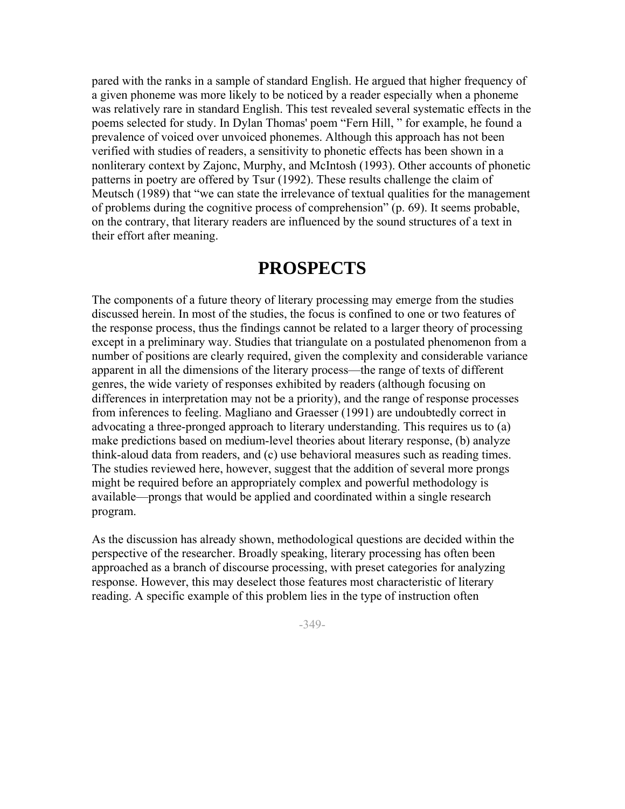pared with the ranks in a sample of standard English. He argued that higher frequency of a given phoneme was more likely to be noticed by a reader especially when a phoneme was relatively rare in standard English. This test revealed several systematic effects in the poems selected for study. In Dylan Thomas' poem "Fern Hill, " for example, he found a prevalence of voiced over unvoiced phonemes. Although this approach has not been verified with studies of readers, a sensitivity to phonetic effects has been shown in a nonliterary context by Zajonc, Murphy, and McIntosh (1993). Other accounts of phonetic patterns in poetry are offered by Tsur (1992). These results challenge the claim of Meutsch (1989) that "we can state the irrelevance of textual qualities for the management of problems during the cognitive process of comprehension" (p. 69). It seems probable, on the contrary, that literary readers are influenced by the sound structures of a text in their effort after meaning.

## **PROSPECTS**

The components of a future theory of literary processing may emerge from the studies discussed herein. In most of the studies, the focus is confined to one or two features of the response process, thus the findings cannot be related to a larger theory of processing except in a preliminary way. Studies that triangulate on a postulated phenomenon from a number of positions are clearly required, given the complexity and considerable variance apparent in all the dimensions of the literary process—the range of texts of different genres, the wide variety of responses exhibited by readers (although focusing on differences in interpretation may not be a priority), and the range of response processes from inferences to feeling. Magliano and Graesser (1991) are undoubtedly correct in advocating a three-pronged approach to literary understanding. This requires us to (a) make predictions based on medium-level theories about literary response, (b) analyze think-aloud data from readers, and (c) use behavioral measures such as reading times. The studies reviewed here, however, suggest that the addition of several more prongs might be required before an appropriately complex and powerful methodology is available—prongs that would be applied and coordinated within a single research program.

As the discussion has already shown, methodological questions are decided within the perspective of the researcher. Broadly speaking, literary processing has often been approached as a branch of discourse processing, with preset categories for analyzing response. However, this may deselect those features most characteristic of literary reading. A specific example of this problem lies in the type of instruction often

-349-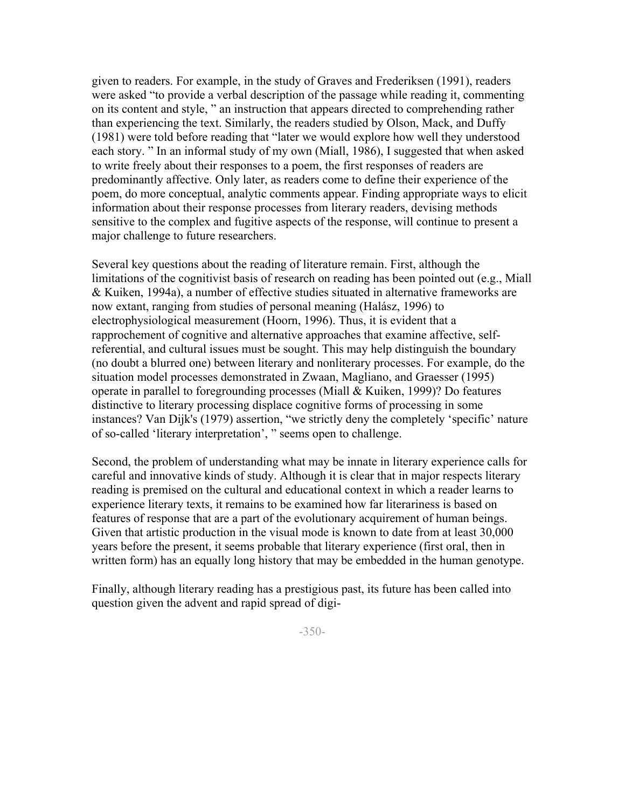given to readers. For example, in the study of Graves and Frederiksen (1991), readers were asked "to provide a verbal description of the passage while reading it, commenting on its content and style, " an instruction that appears directed to comprehending rather than experiencing the text. Similarly, the readers studied by Olson, Mack, and Duffy (1981) were told before reading that "later we would explore how well they understood each story. " In an informal study of my own (Miall, 1986), I suggested that when asked to write freely about their responses to a poem, the first responses of readers are predominantly affective. Only later, as readers come to define their experience of the poem, do more conceptual, analytic comments appear. Finding appropriate ways to elicit information about their response processes from literary readers, devising methods sensitive to the complex and fugitive aspects of the response, will continue to present a major challenge to future researchers.

Several key questions about the reading of literature remain. First, although the limitations of the cognitivist basis of research on reading has been pointed out (e.g., Miall & Kuiken, 1994a), a number of effective studies situated in alternative frameworks are now extant, ranging from studies of personal meaning (Halász, 1996) to electrophysiological measurement (Hoorn, 1996). Thus, it is evident that a rapprochement of cognitive and alternative approaches that examine affective, selfreferential, and cultural issues must be sought. This may help distinguish the boundary (no doubt a blurred one) between literary and nonliterary processes. For example, do the situation model processes demonstrated in Zwaan, Magliano, and Graesser (1995) operate in parallel to foregrounding processes (Miall & Kuiken, 1999)? Do features distinctive to literary processing displace cognitive forms of processing in some instances? Van Dijk's (1979) assertion, "we strictly deny the completely 'specific' nature of so-called 'literary interpretation', " seems open to challenge.

Second, the problem of understanding what may be innate in literary experience calls for careful and innovative kinds of study. Although it is clear that in major respects literary reading is premised on the cultural and educational context in which a reader learns to experience literary texts, it remains to be examined how far literariness is based on features of response that are a part of the evolutionary acquirement of human beings. Given that artistic production in the visual mode is known to date from at least 30,000 years before the present, it seems probable that literary experience (first oral, then in written form) has an equally long history that may be embedded in the human genotype.

Finally, although literary reading has a prestigious past, its future has been called into question given the advent and rapid spread of digi-

 $-350-$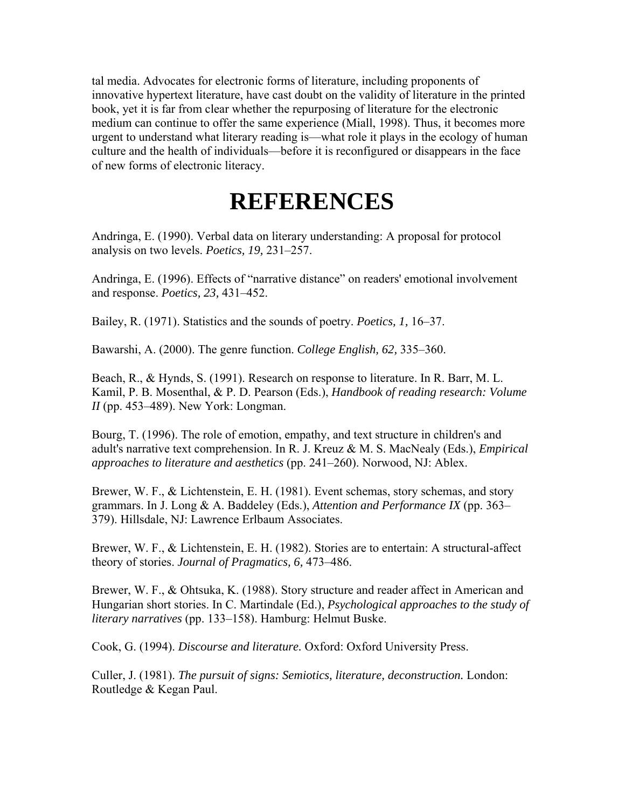tal media. Advocates for electronic forms of literature, including proponents of innovative hypertext literature, have cast doubt on the validity of literature in the printed book, yet it is far from clear whether the repurposing of literature for the electronic medium can continue to offer the same experience (Miall, 1998). Thus, it becomes more urgent to understand what literary reading is—what role it plays in the ecology of human culture and the health of individuals—before it is reconfigured or disappears in the face of new forms of electronic literacy.

# **REFERENCES**

Andringa, E. (1990). Verbal data on literary understanding: A proposal for protocol analysis on two levels. *Poetics, 19,* 231–257.

Andringa, E. (1996). Effects of "narrative distance" on readers' emotional involvement and response. *Poetics, 23,* 431–452.

Bailey, R. (1971). Statistics and the sounds of poetry. *Poetics, 1,* 16–37.

Bawarshi, A. (2000). The genre function. *College English, 62,* 335–360.

Beach, R., & Hynds, S. (1991). Research on response to literature. In R. Barr, M. L. Kamil, P. B. Mosenthal, & P. D. Pearson (Eds.), *Handbook of reading research: Volume II* (pp. 453–489). New York: Longman.

Bourg, T. (1996). The role of emotion, empathy, and text structure in children's and adult's narrative text comprehension. In R. J. Kreuz & M. S. MacNealy (Eds.), *Empirical approaches to literature and aesthetics* (pp. 241–260). Norwood, NJ: Ablex.

Brewer, W. F., & Lichtenstein, E. H. (1981). Event schemas, story schemas, and story grammars. In J. Long & A. Baddeley (Eds.), *Attention and Performance IX* (pp. 363– 379). Hillsdale, NJ: Lawrence Erlbaum Associates.

Brewer, W. F., & Lichtenstein, E. H. (1982). Stories are to entertain: A structural-affect theory of stories. *Journal of Pragmatics, 6,* 473–486.

Brewer, W. F., & Ohtsuka, K. (1988). Story structure and reader affect in American and Hungarian short stories. In C. Martindale (Ed.), *Psychological approaches to the study of literary narratives* (pp. 133–158). Hamburg: Helmut Buske.

Cook, G. (1994). *Discourse and literature.* Oxford: Oxford University Press.

Culler, J. (1981). *The pursuit of signs: Semiotics, literature, deconstruction.* London: Routledge & Kegan Paul.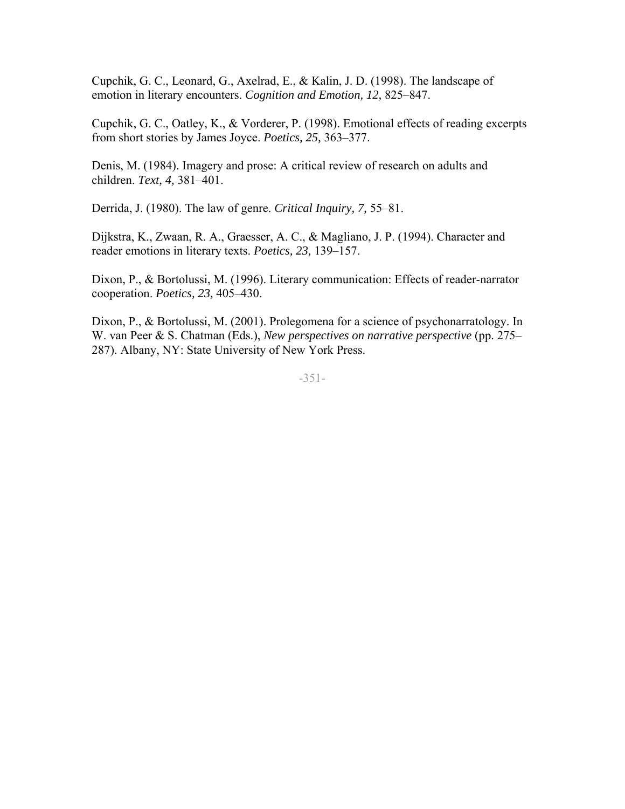Cupchik, G. C., Leonard, G., Axelrad, E., & Kalin, J. D. (1998). The landscape of emotion in literary encounters. *Cognition and Emotion, 12,* 825–847.

Cupchik, G. C., Oatley, K., & Vorderer, P. (1998). Emotional effects of reading excerpts from short stories by James Joyce. *Poetics, 25,* 363–377.

Denis, M. (1984). Imagery and prose: A critical review of research on adults and children. *Text, 4,* 381–401.

Derrida, J. (1980). The law of genre. *Critical Inquiry, 7,* 55–81.

Dijkstra, K., Zwaan, R. A., Graesser, A. C., & Magliano, J. P. (1994). Character and reader emotions in literary texts. *Poetics, 23,* 139–157.

Dixon, P., & Bortolussi, M. (1996). Literary communication: Effects of reader-narrator cooperation. *Poetics, 23,* 405–430.

Dixon, P., & Bortolussi, M. (2001). Prolegomena for a science of psychonarratology. In W. van Peer & S. Chatman (Eds.), *New perspectives on narrative perspective* (pp. 275– 287). Albany, NY: State University of New York Press.

-351-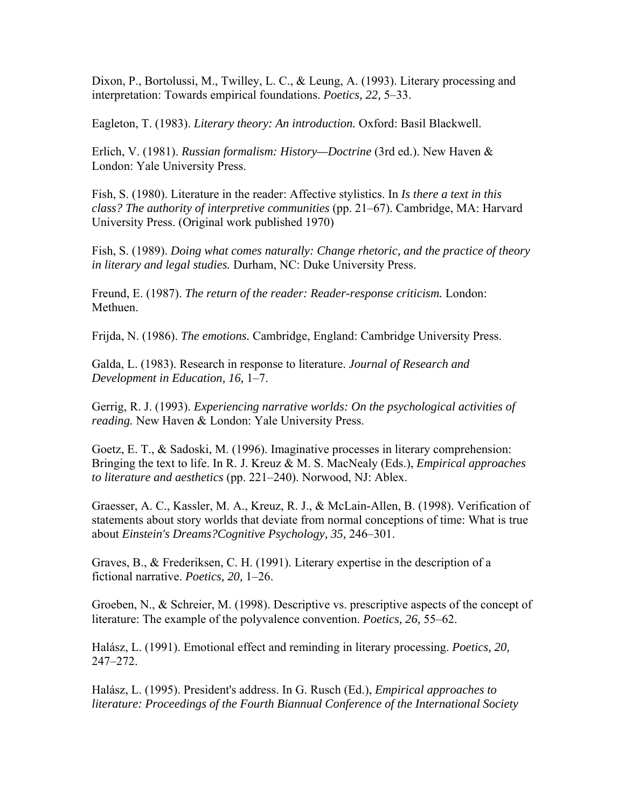Dixon, P., Bortolussi, M., Twilley, L. C., & Leung, A. (1993). Literary processing and interpretation: Towards empirical foundations. *Poetics, 22,* 5–33.

Eagleton, T. (1983). *Literary theory: An introduction.* Oxford: Basil Blackwell.

Erlich, V. (1981). *Russian formalism: History—Doctrine* (3rd ed.). New Haven & London: Yale University Press.

Fish, S. (1980). Literature in the reader: Affective stylistics. In *Is there a text in this class? The authority of interpretive communities* (pp. 21–67). Cambridge, MA: Harvard University Press. (Original work published 1970)

Fish, S. (1989). *Doing what comes naturally: Change rhetoric, and the practice of theory in literary and legal studies.* Durham, NC: Duke University Press.

Freund, E. (1987). *The return of the reader: Reader-response criticism.* London: Methuen.

Frijda, N. (1986). *The emotions.* Cambridge, England: Cambridge University Press.

Galda, L. (1983). Research in response to literature. *Journal of Research and Development in Education, 16,* 1–7.

Gerrig, R. J. (1993). *Experiencing narrative worlds: On the psychological activities of reading.* New Haven & London: Yale University Press.

Goetz, E. T., & Sadoski, M. (1996). Imaginative processes in literary comprehension: Bringing the text to life. In R. J. Kreuz & M. S. MacNealy (Eds.), *Empirical approaches to literature and aesthetics* (pp. 221–240). Norwood, NJ: Ablex.

Graesser, A. C., Kassler, M. A., Kreuz, R. J., & McLain-Allen, B. (1998). Verification of statements about story worlds that deviate from normal conceptions of time: What is true about *Einstein's Dreams?Cognitive Psychology, 35,* 246–301.

Graves, B., & Frederiksen, C. H. (1991). Literary expertise in the description of a fictional narrative. *Poetics, 20,* 1–26.

Groeben, N., & Schreier, M. (1998). Descriptive vs. prescriptive aspects of the concept of literature: The example of the polyvalence convention. *Poetics, 26,* 55–62.

Halász, L. (1991). Emotional effect and reminding in literary processing. *Poetics, 20,* 247–272.

Halász, L. (1995). President's address. In G. Rusch (Ed.), *Empirical approaches to literature: Proceedings of the Fourth Biannual Conference of the International Society*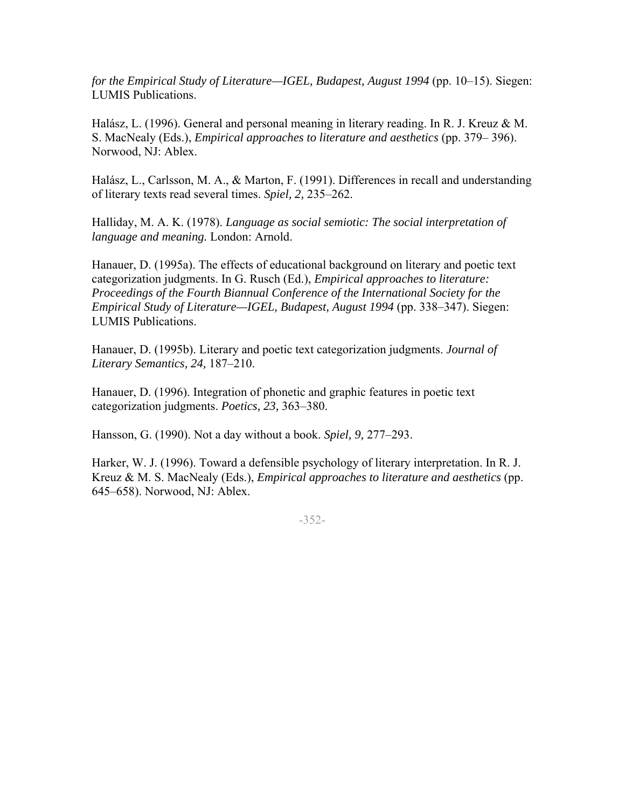*for the Empirical Study of Literature—IGEL, Budapest, August 1994* (pp. 10–15). Siegen: LUMIS Publications.

Halász, L. (1996). General and personal meaning in literary reading. In R. J. Kreuz & M. S. MacNealy (Eds.), *Empirical approaches to literature and aesthetics* (pp. 379– 396). Norwood, NJ: Ablex.

Halász, L., Carlsson, M. A., & Marton, F. (1991). Differences in recall and understanding of literary texts read several times. *Spiel, 2,* 235–262.

Halliday, M. A. K. (1978). *Language as social semiotic: The social interpretation of language and meaning.* London: Arnold.

Hanauer, D. (1995a). The effects of educational background on literary and poetic text categorization judgments. In G. Rusch (Ed.), *Empirical approaches to literature: Proceedings of the Fourth Biannual Conference of the International Society for the Empirical Study of Literature—IGEL, Budapest, August 1994* (pp. 338–347). Siegen: LUMIS Publications.

Hanauer, D. (1995b). Literary and poetic text categorization judgments. *Journal of Literary Semantics, 24,* 187–210.

Hanauer, D. (1996). Integration of phonetic and graphic features in poetic text categorization judgments. *Poetics, 23,* 363–380.

Hansson, G. (1990). Not a day without a book. *Spiel, 9,* 277–293.

Harker, W. J. (1996). Toward a defensible psychology of literary interpretation. In R. J. Kreuz & M. S. MacNealy (Eds.), *Empirical approaches to literature and aesthetics* (pp. 645–658). Norwood, NJ: Ablex.

-352-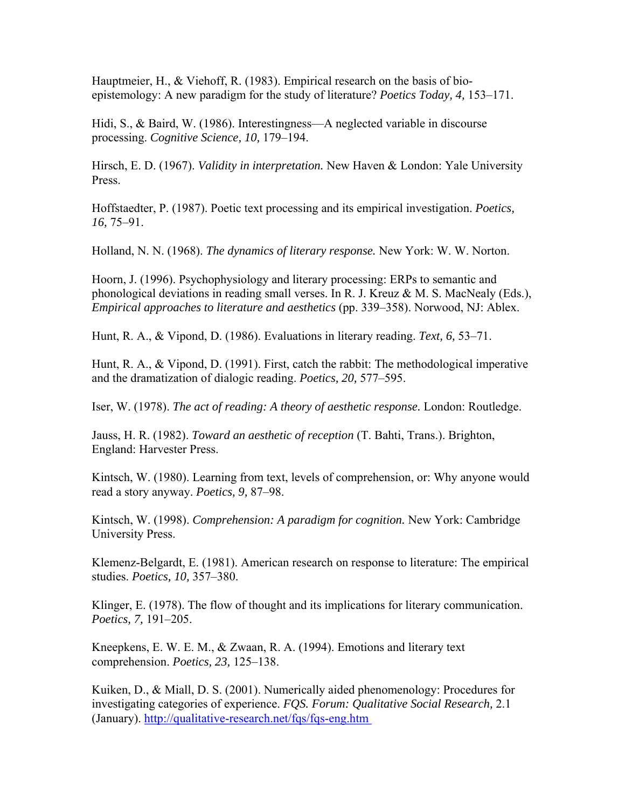Hauptmeier, H., & Viehoff, R. (1983). Empirical research on the basis of bioepistemology: A new paradigm for the study of literature? *Poetics Today, 4,* 153–171.

Hidi, S., & Baird, W. (1986). Interestingness—A neglected variable in discourse processing. *Cognitive Science, 10,* 179–194.

Hirsch, E. D. (1967). *Validity in interpretation.* New Haven & London: Yale University Press.

Hoffstaedter, P. (1987). Poetic text processing and its empirical investigation. *Poetics, 16,* 75–91.

Holland, N. N. (1968). *The dynamics of literary response.* New York: W. W. Norton.

Hoorn, J. (1996). Psychophysiology and literary processing: ERPs to semantic and phonological deviations in reading small verses. In R. J. Kreuz & M. S. MacNealy (Eds.), *Empirical approaches to literature and aesthetics* (pp. 339–358). Norwood, NJ: Ablex.

Hunt, R. A., & Vipond, D. (1986). Evaluations in literary reading. *Text, 6,* 53–71.

Hunt, R. A., & Vipond, D. (1991). First, catch the rabbit: The methodological imperative and the dramatization of dialogic reading. *Poetics, 20,* 577–595.

Iser, W. (1978). *The act of reading: A theory of aesthetic response.* London: Routledge.

Jauss, H. R. (1982). *Toward an aesthetic of reception* (T. Bahti, Trans.). Brighton, England: Harvester Press.

Kintsch, W. (1980). Learning from text, levels of comprehension, or: Why anyone would read a story anyway. *Poetics, 9,* 87–98.

Kintsch, W. (1998). *Comprehension: A paradigm for cognition.* New York: Cambridge University Press.

Klemenz-Belgardt, E. (1981). American research on response to literature: The empirical studies. *Poetics, 10,* 357–380.

Klinger, E. (1978). The flow of thought and its implications for literary communication. *Poetics, 7,* 191–205.

Kneepkens, E. W. E. M., & Zwaan, R. A. (1994). Emotions and literary text comprehension. *Poetics, 23,* 125–138.

Kuiken, D., & Miall, D. S. (2001). Numerically aided phenomenology: Procedures for investigating categories of experience. *FQS. Forum: Qualitative Social Research,* 2.1 (January).<http://qualitative-research.net/fqs/fqs-eng.htm>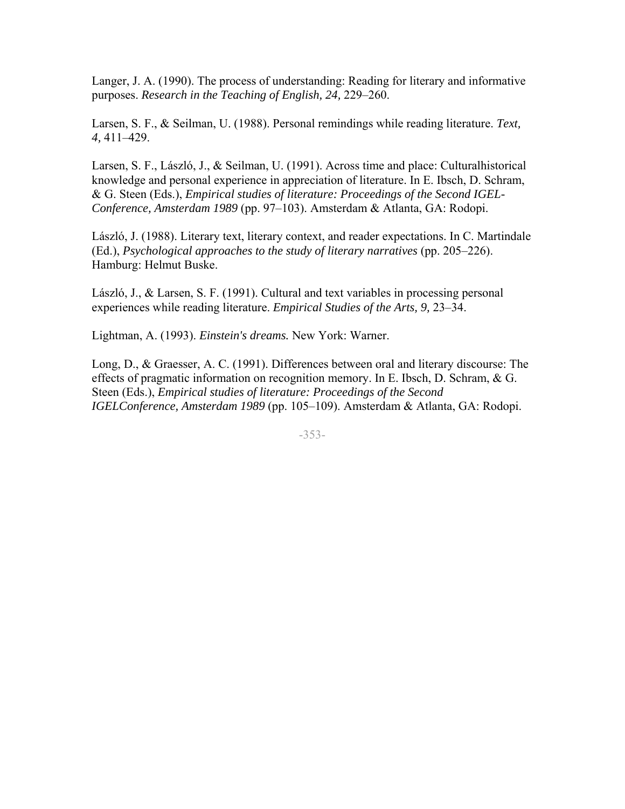Langer, J. A. (1990). The process of understanding: Reading for literary and informative purposes. *Research in the Teaching of English, 24,* 229–260.

Larsen, S. F., & Seilman, U. (1988). Personal remindings while reading literature. *Text, 4,* 411–429.

Larsen, S. F., László, J., & Seilman, U. (1991). Across time and place: Culturalhistorical knowledge and personal experience in appreciation of literature. In E. Ibsch, D. Schram, & G. Steen (Eds.), *Empirical studies of literature: Proceedings of the Second IGEL-Conference, Amsterdam 1989* (pp. 97–103). Amsterdam & Atlanta, GA: Rodopi.

László, J. (1988). Literary text, literary context, and reader expectations. In C. Martindale (Ed.), *Psychological approaches to the study of literary narratives* (pp. 205–226). Hamburg: Helmut Buske.

László, J., & Larsen, S. F. (1991). Cultural and text variables in processing personal experiences while reading literature. *Empirical Studies of the Arts, 9,* 23–34.

Lightman, A. (1993). *Einstein's dreams.* New York: Warner.

Long, D., & Graesser, A. C. (1991). Differences between oral and literary discourse: The effects of pragmatic information on recognition memory. In E. Ibsch, D. Schram, & G. Steen (Eds.), *Empirical studies of literature: Proceedings of the Second IGELConference, Amsterdam 1989* (pp. 105–109). Amsterdam & Atlanta, GA: Rodopi.

-353-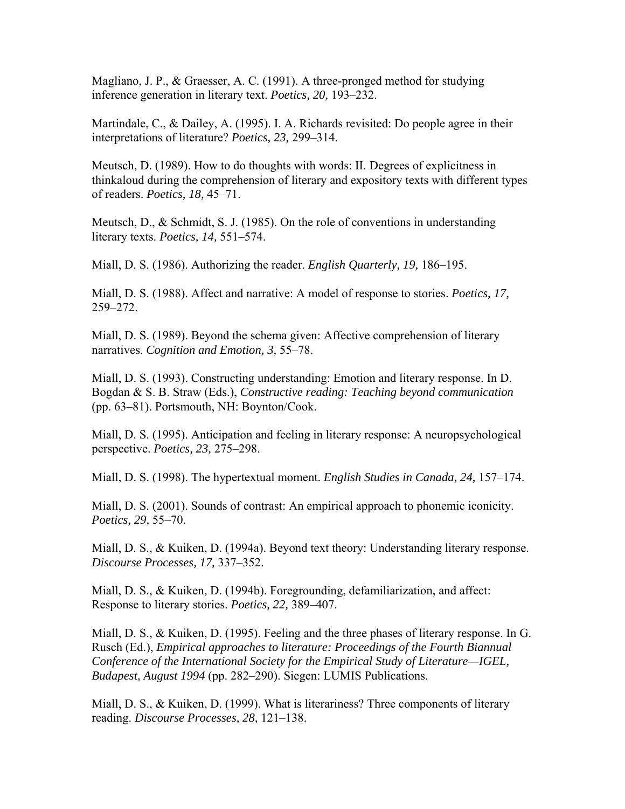Magliano, J. P., & Graesser, A. C. (1991). A three-pronged method for studying inference generation in literary text. *Poetics, 20,* 193–232.

Martindale, C., & Dailey, A. (1995). I. A. Richards revisited: Do people agree in their interpretations of literature? *Poetics, 23,* 299–314.

Meutsch, D. (1989). How to do thoughts with words: II. Degrees of explicitness in thinkaloud during the comprehension of literary and expository texts with different types of readers. *Poetics, 18,* 45–71.

Meutsch, D., & Schmidt, S. J. (1985). On the role of conventions in understanding literary texts. *Poetics, 14,* 551–574.

Miall, D. S. (1986). Authorizing the reader. *English Quarterly, 19,* 186–195.

Miall, D. S. (1988). Affect and narrative: A model of response to stories. *Poetics, 17,* 259–272.

Miall, D. S. (1989). Beyond the schema given: Affective comprehension of literary narratives. *Cognition and Emotion, 3,* 55–78.

Miall, D. S. (1993). Constructing understanding: Emotion and literary response. In D. Bogdan & S. B. Straw (Eds.), *Constructive reading: Teaching beyond communication* (pp. 63–81). Portsmouth, NH: Boynton/Cook.

Miall, D. S. (1995). Anticipation and feeling in literary response: A neuropsychological perspective. *Poetics, 23,* 275–298.

Miall, D. S. (1998). The hypertextual moment. *English Studies in Canada, 24,* 157–174.

Miall, D. S. (2001). Sounds of contrast: An empirical approach to phonemic iconicity. *Poetics, 29,* 55–70.

Miall, D. S., & Kuiken, D. (1994a). Beyond text theory: Understanding literary response. *Discourse Processes, 17,* 337–352.

Miall, D. S., & Kuiken, D. (1994b). Foregrounding, defamiliarization, and affect: Response to literary stories. *Poetics, 22,* 389–407.

Miall, D. S., & Kuiken, D. (1995). Feeling and the three phases of literary response. In G. Rusch (Ed.), *Empirical approaches to literature: Proceedings of the Fourth Biannual Conference of the International Society for the Empirical Study of Literature—IGEL, Budapest, August 1994* (pp. 282–290). Siegen: LUMIS Publications.

Miall, D. S., & Kuiken, D. (1999). What is literariness? Three components of literary reading. *Discourse Processes, 28,* 121–138.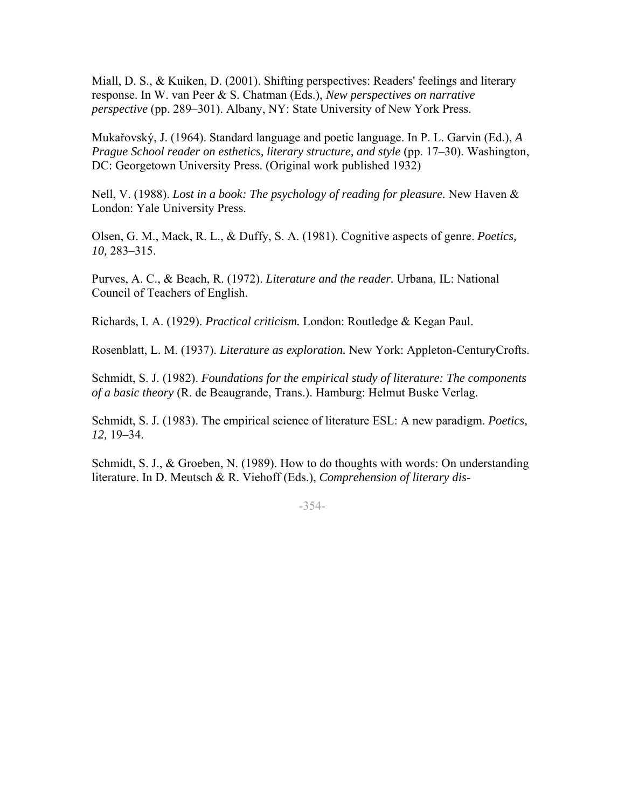Miall, D. S., & Kuiken, D. (2001). Shifting perspectives: Readers' feelings and literary response. In W. van Peer & S. Chatman (Eds.), *New perspectives on narrative perspective* (pp. 289–301). Albany, NY: State University of New York Press.

Mukařovský, J. (1964). Standard language and poetic language. In P. L. Garvin (Ed.), *A Prague School reader on esthetics, literary structure, and style* (pp. 17–30). Washington, DC: Georgetown University Press. (Original work published 1932)

Nell, V. (1988). *Lost in a book: The psychology of reading for pleasure.* New Haven & London: Yale University Press.

Olsen, G. M., Mack, R. L., & Duffy, S. A. (1981). Cognitive aspects of genre. *Poetics, 10,* 283–315.

Purves, A. C., & Beach, R. (1972). *Literature and the reader.* Urbana, IL: National Council of Teachers of English.

Richards, I. A. (1929). *Practical criticism.* London: Routledge & Kegan Paul.

Rosenblatt, L. M. (1937). *Literature as exploration.* New York: Appleton-CenturyCrofts.

Schmidt, S. J. (1982). *Foundations for the empirical study of literature: The components of a basic theory* (R. de Beaugrande, Trans.). Hamburg: Helmut Buske Verlag.

Schmidt, S. J. (1983). The empirical science of literature ESL: A new paradigm. *Poetics, 12,* 19–34.

Schmidt, S. J., & Groeben, N. (1989). How to do thoughts with words: On understanding literature. In D. Meutsch & R. Viehoff (Eds.), *Comprehension of literary dis*-

-354-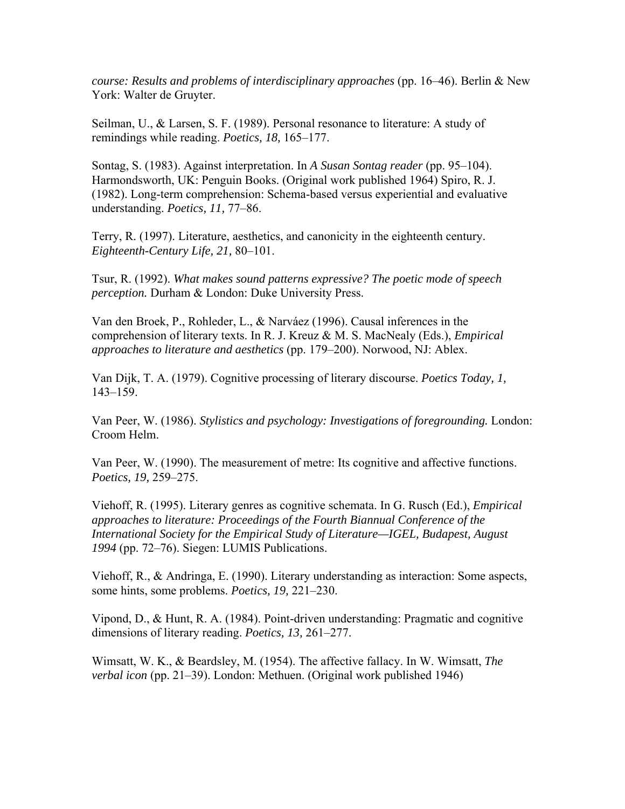*course: Results and problems of interdisciplinary approaches* (pp. 16–46). Berlin & New York: Walter de Gruyter.

Seilman, U., & Larsen, S. F. (1989). Personal resonance to literature: A study of remindings while reading. *Poetics, 18,* 165–177.

Sontag, S. (1983). Against interpretation. In *A Susan Sontag reader* (pp. 95–104). Harmondsworth, UK: Penguin Books. (Original work published 1964) Spiro, R. J. (1982). Long-term comprehension: Schema-based versus experiential and evaluative understanding. *Poetics, 11,* 77–86.

Terry, R. (1997). Literature, aesthetics, and canonicity in the eighteenth century. *Eighteenth-Century Life, 21,* 80–101.

Tsur, R. (1992). *What makes sound patterns expressive? The poetic mode of speech perception.* Durham & London: Duke University Press.

Van den Broek, P., Rohleder, L., & Narváez (1996). Causal inferences in the comprehension of literary texts. In R. J. Kreuz & M. S. MacNealy (Eds.), *Empirical approaches to literature and aesthetics* (pp. 179–200). Norwood, NJ: Ablex.

Van Dijk, T. A. (1979). Cognitive processing of literary discourse. *Poetics Today, 1,* 143–159.

Van Peer, W. (1986). *Stylistics and psychology: Investigations of foregrounding.* London: Croom Helm.

Van Peer, W. (1990). The measurement of metre: Its cognitive and affective functions. *Poetics, 19,* 259–275.

Viehoff, R. (1995). Literary genres as cognitive schemata. In G. Rusch (Ed.), *Empirical approaches to literature: Proceedings of the Fourth Biannual Conference of the International Society for the Empirical Study of Literature—IGEL, Budapest, August 1994* (pp. 72–76). Siegen: LUMIS Publications.

Viehoff, R., & Andringa, E. (1990). Literary understanding as interaction: Some aspects, some hints, some problems. *Poetics, 19,* 221–230.

Vipond, D., & Hunt, R. A. (1984). Point-driven understanding: Pragmatic and cognitive dimensions of literary reading. *Poetics, 13,* 261–277.

Wimsatt, W. K., & Beardsley, M. (1954). The affective fallacy. In W. Wimsatt, *The verbal icon* (pp. 21–39). London: Methuen. (Original work published 1946)